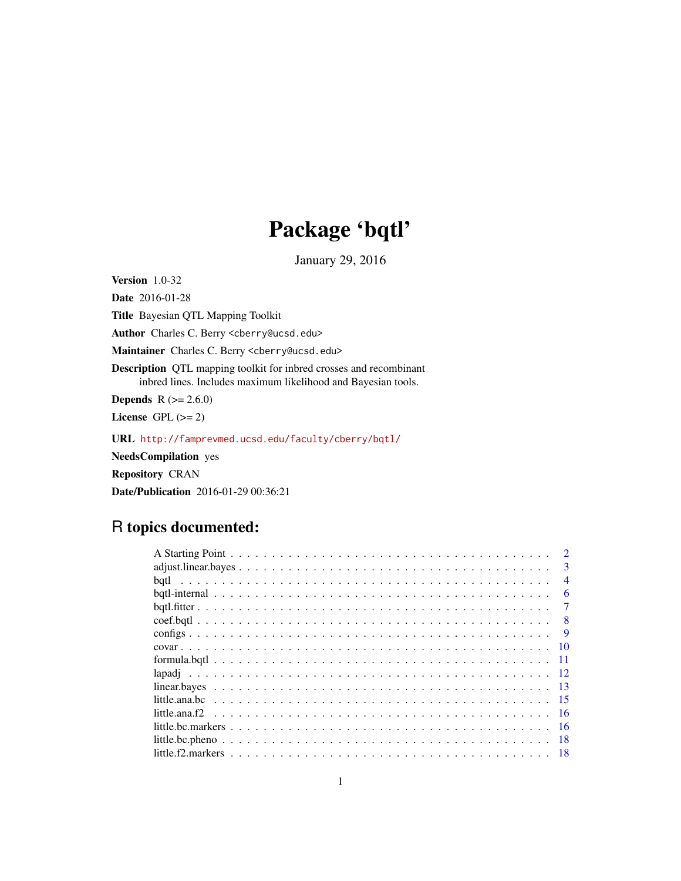## Package 'bqtl'

January 29, 2016

<span id="page-0-0"></span>**Version** 1.0-32

Date 2016-01-28

Title Bayesian QTL Mapping Toolkit

Author Charles C. Berry <cberry@ucsd.edu>

Maintainer Charles C. Berry <cberry@ucsd.edu>

Description QTL mapping toolkit for inbred crosses and recombinant inbred lines. Includes maximum likelihood and Bayesian tools.

**Depends** R  $(>= 2.6.0)$ 

License GPL  $(>= 2)$ 

URL <http://famprevmed.ucsd.edu/faculty/cberry/bqtl/>

NeedsCompilation yes

Repository CRAN

Date/Publication 2016-01-29 00:36:21

## R topics documented:

|      | $\mathcal{D}_{\mathcal{A}}$ |
|------|-----------------------------|
|      | $\mathbf{3}$                |
|      | $\overline{4}$              |
|      | 6                           |
|      |                             |
|      |                             |
|      | <b>Q</b>                    |
|      |                             |
|      |                             |
|      |                             |
| - 13 |                             |
|      |                             |
|      |                             |
|      |                             |
|      | -18                         |
|      |                             |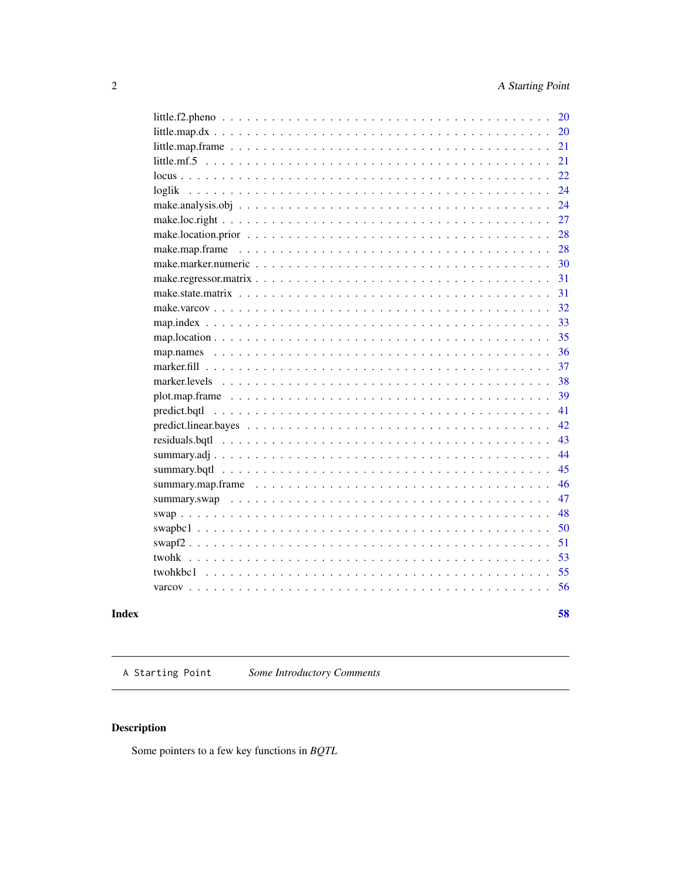<span id="page-1-0"></span>

|                   | 20  |
|-------------------|-----|
|                   | 20  |
|                   | 21  |
|                   | 21  |
|                   | 22  |
| loglik            | 24  |
|                   | 24  |
|                   | 27  |
|                   | 28  |
|                   | 28  |
|                   | 30  |
|                   | 31  |
|                   | 31  |
|                   | 32  |
|                   | 33  |
|                   | 35  |
|                   | 36  |
|                   | 37  |
|                   | 38  |
|                   | 39  |
|                   | 41  |
|                   | 42. |
|                   | 43  |
|                   | 44  |
| summary.bqtl      | 45  |
| summary.map.frame | 46  |
|                   | 47  |
|                   | 48  |
|                   | 50  |
|                   | 51  |
|                   | 53  |
| twohkbc1          | 55  |
|                   | 56  |
|                   |     |
|                   | 58  |

### **Index**

A Starting Point Some Introductory Comments

### $\begin{minipage}[c]{0.4\linewidth} \textbf{Description} \end{minipage} \vspace{-0.3cm}$

Some pointers to a few key functions in  $BQTL$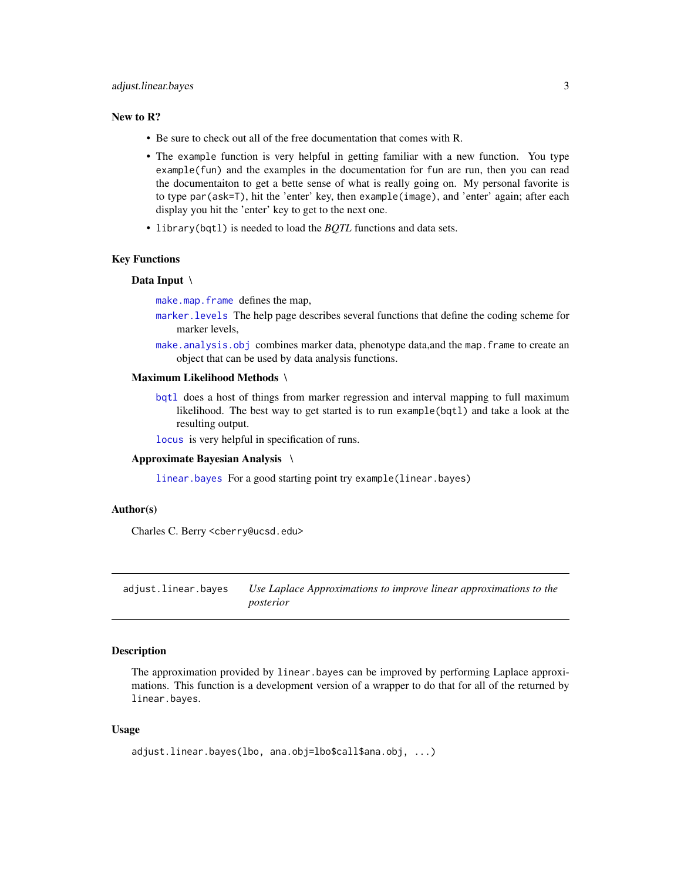### <span id="page-2-0"></span>adjust.linear.bayes 3

#### New to R?

- Be sure to check out all of the free documentation that comes with R.
- The example function is very helpful in getting familiar with a new function. You type example(fun) and the examples in the documentation for fun are run, then you can read the documentaiton to get a bette sense of what is really going on. My personal favorite is to type par(ask=T), hit the 'enter' key, then example(image), and 'enter' again; after each display you hit the 'enter' key to get to the next one.
- library(bqtl) is needed to load the *BQTL* functions and data sets.

#### Key Functions

#### Data Input \

[make.map.frame](#page-27-1) defines the map,

- [marker.levels](#page-37-1) The help page describes several functions that define the coding scheme for marker levels,
- [make.analysis.obj](#page-23-1) combines marker data, phenotype data,and the map.frame to create an object that can be used by data analysis functions.

### Maximum Likelihood Methods \

[bqtl](#page-3-1) does a host of things from marker regression and interval mapping to full maximum likelihood. The best way to get started is to run example(bqtl) and take a look at the resulting output.

[locus](#page-21-1) is very helpful in specification of runs.

#### Approximate Bayesian Analysis \

[linear.bayes](#page-12-1) For a good starting point try example(linear.bayes)

#### Author(s)

Charles C. Berry <cberry@ucsd.edu>

adjust.linear.bayes *Use Laplace Approximations to improve linear approximations to the posterior*

#### **Description**

The approximation provided by linear.bayes can be improved by performing Laplace approximations. This function is a development version of a wrapper to do that for all of the returned by linear.bayes.

### Usage

```
adjust.linear.bayes(lbo, ana.obj=lbo$call$ana.obj, ...)
```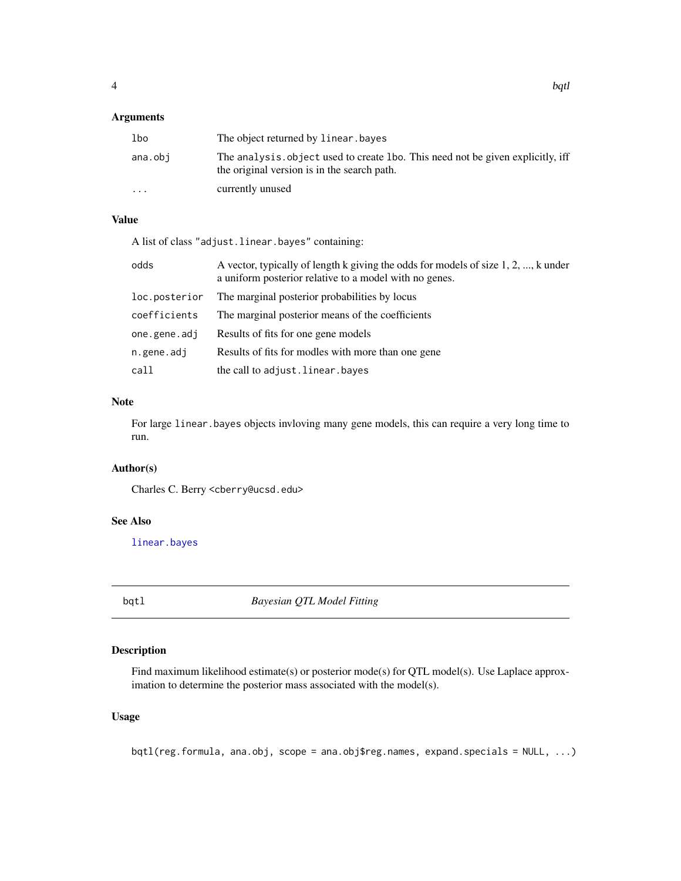### <span id="page-3-0"></span>Arguments

| lbo                     | The object returned by linear. bayes                                                                                           |
|-------------------------|--------------------------------------------------------------------------------------------------------------------------------|
| ana.obi                 | The analysis, object used to create 1bo. This need not be given explicitly, iff<br>the original version is in the search path. |
| $\cdot$ $\cdot$ $\cdot$ | currently unused                                                                                                               |

### Value

A list of class "adjust.linear.bayes" containing:

| odds          | A vector, typically of length k giving the odds for models of size 1, 2, , k under<br>a uniform posterior relative to a model with no genes. |
|---------------|----------------------------------------------------------------------------------------------------------------------------------------------|
| loc.posterior | The marginal posterior probabilities by locus                                                                                                |
| coefficients  | The marginal posterior means of the coefficients                                                                                             |
| one.gene.adj  | Results of fits for one gene models                                                                                                          |
| n.gene.adj    | Results of fits for modles with more than one gene                                                                                           |
| call          | the call to adjust. linear. bayes                                                                                                            |

### Note

For large linear.bayes objects invloving many gene models, this can require a very long time to run.

### Author(s)

Charles C. Berry <cberry@ucsd.edu>

### See Also

[linear.bayes](#page-12-1)

<span id="page-3-1"></span>

beta *Bayesian QTL Model Fitting* 

### Description

Find maximum likelihood estimate(s) or posterior mode(s) for QTL model(s). Use Laplace approximation to determine the posterior mass associated with the model(s).

### Usage

bqtl(reg.formula, ana.obj, scope = ana.obj\$reg.names, expand.specials = NULL, ...)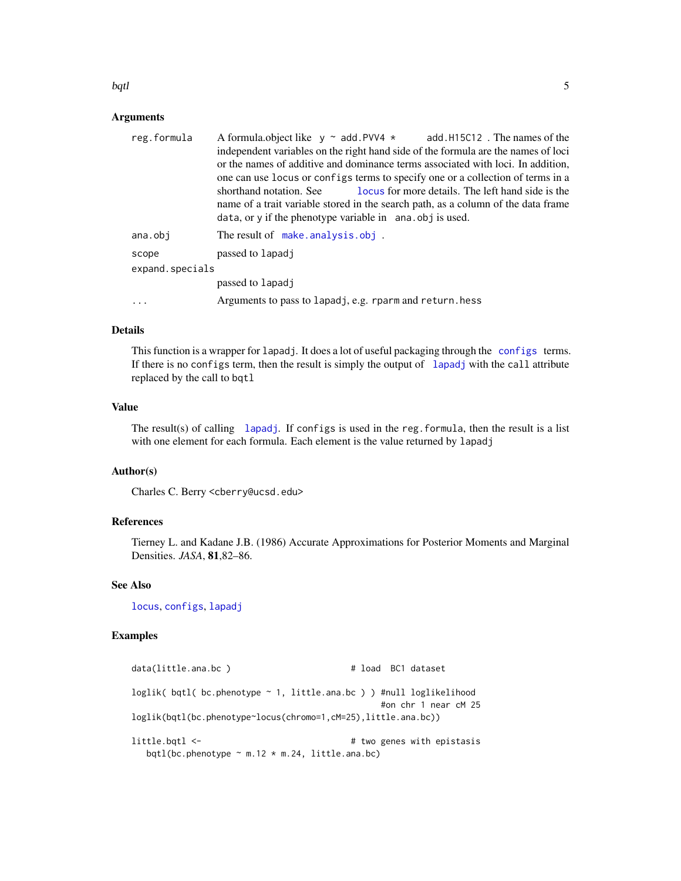### <span id="page-4-0"></span>bqtl 5

#### Arguments

| reg.formula     | A formula object like $y \sim$ add. PVV4 $*$ add. H15C12. The names of the        |  |  |
|-----------------|-----------------------------------------------------------------------------------|--|--|
|                 | independent variables on the right hand side of the formula are the names of loci |  |  |
|                 | or the names of additive and dominance terms associated with loci. In addition,   |  |  |
|                 | one can use locus or configs terms to specify one or a collection of terms in a   |  |  |
|                 | locus for more details. The left hand side is the<br>shorthand notation. See      |  |  |
|                 | name of a trait variable stored in the search path, as a column of the data frame |  |  |
|                 | data, or y if the phenotype variable in ana. obj is used.                         |  |  |
| ana.obi         | The result of make.analysis.obj.                                                  |  |  |
| scope           | passed to lapadj                                                                  |  |  |
| expand.specials |                                                                                   |  |  |
|                 | passed to lapadj                                                                  |  |  |
| $\cdots$        | Arguments to pass to lapadj, e.g. rparm and return. hess                          |  |  |

### Details

This function is a wrapper for lapadj. It does a lot of useful packaging through the [configs](#page-8-1) terms. If there is no configs term, then the result is simply the output of [lapadj](#page-11-1) with the call attribute replaced by the call to bqtl

### Value

The result(s) of calling [lapadj](#page-11-1). If configs is used in the reg. formula, then the result is a list with one element for each formula. Each element is the value returned by lapadj

### Author(s)

Charles C. Berry <cberry@ucsd.edu>

### References

Tierney L. and Kadane J.B. (1986) Accurate Approximations for Posterior Moments and Marginal Densities. *JASA*, 81,82–86.

### See Also

[locus](#page-21-1), [configs](#page-8-1), [lapadj](#page-11-1)

### Examples

| data(little.ana.bc )                                                          | # load BC1 dataset         |
|-------------------------------------------------------------------------------|----------------------------|
| $loglik($ bqtl( bc.phenotype $\sim 1$ , little.ana.bc ) ) #null loglikelihood | #on chr 1 near cM 25       |
| loglik(bqtl(bc.phenotype~locus(chromo=1,cM=25),little.ana.bc))                |                            |
| little.bqtl <-<br>bqtl(bc.phenotype $\sim$ m.12 $\star$ m.24, little.ana.bc)  | # two genes with epistasis |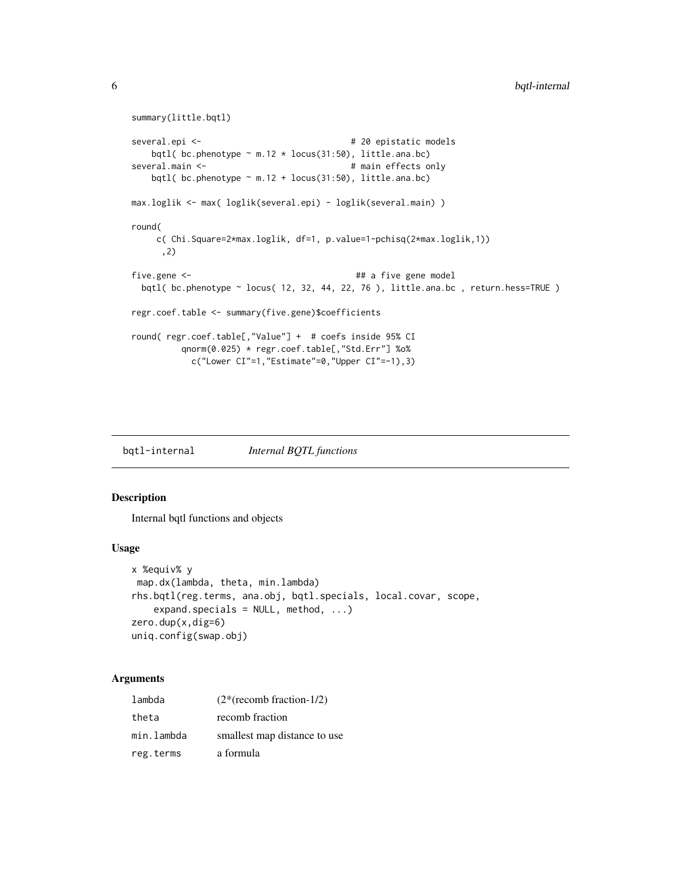```
summary(little.bqtl)
several.epi <- \qquad # 20 epistatic models
   bqtl( bc.phenotype \sim m.12 * locus(31:50), little.ana.bc)
several.main <- # main effects only
   bqtl( bc.phenotype \sim m.12 + locus(31:50), little.ana.bc)
max.loglik <- max( loglik(several.epi) - loglik(several.main) )
round(
    c( Chi.Square=2*max.loglik, df=1, p.value=1-pchisq(2*max.loglik,1))
     ,2)
five.gene <- ## a five gene model
 bqtl( bc.phenotype ~ locus( 12, 32, 44, 22, 76 ), little.ana.bc , return.hess=TRUE )
regr.coef.table <- summary(five.gene)$coefficients
round( regr.coef.table[,"Value"] + # coefs inside 95% CI
         qnorm(0.025) * regr.coef.table[,"Std.Err"] %o%
          c("Lower CI"=1,"Estimate"=0,"Upper CI"=-1),3)
```
bqtl-internal *Internal BQTL functions*

#### Description

Internal bqtl functions and objects

#### Usage

```
x %equiv% y
map.dx(lambda, theta, min.lambda)
rhs.bqtl(reg.terms, ana.obj, bqtl.specials, local.covar, scope,
   expand.specials = NULL, method, ...)zero.dup(x,dig=6)
uniq.config(swap.obj)
```
### Arguments

| lambda     | $(2*(recomb fraction-1/2))$  |
|------------|------------------------------|
| theta      | recomb fraction              |
| min.lambda | smallest map distance to use |
| reg.terms  | a formula                    |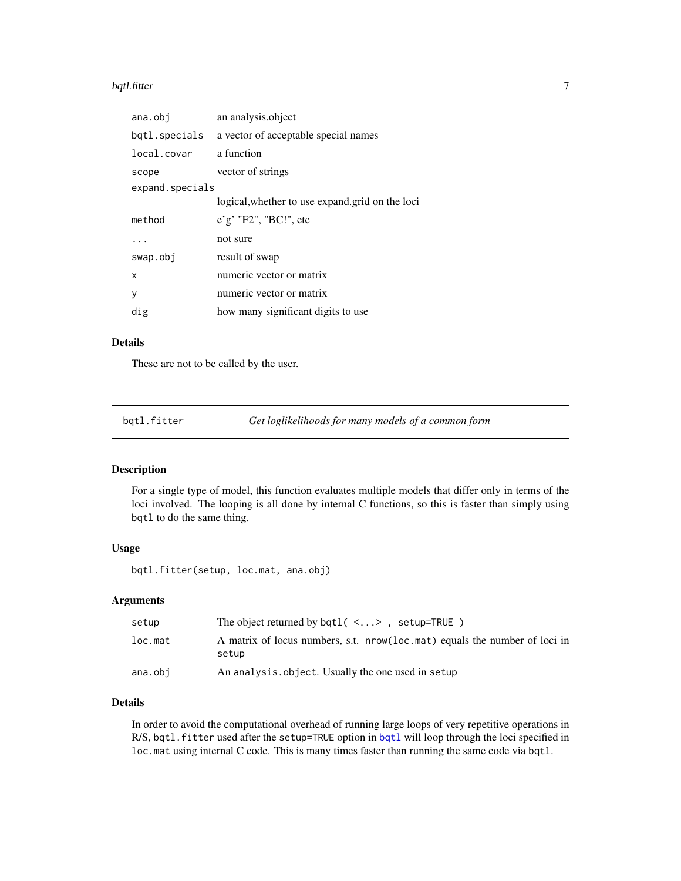#### <span id="page-6-0"></span>bqtl.fitter 7 and 7 and 7 and 7 and 7 and 7 and 7 and 7 and 7 and 7 and 7 and 7 and 7 and 7 and 7 and 7 and 7 and 7 and 7 and 7 and 7 and 7 and 7 and 7 and 7 and 7 and 7 and 7 and 7 and 7 and 7 and 7 and 7 and 7 and 7 and

| ana.obj         | an analysis.object                              |  |
|-----------------|-------------------------------------------------|--|
| bqtl.specials   | a vector of acceptable special names            |  |
| local.covar     | a function                                      |  |
| scope           | vector of strings                               |  |
| expand.specials |                                                 |  |
|                 | logical, whether to use expand.grid on the loci |  |
| method          | $e'g'$ "F2", "BC!", etc                         |  |
|                 | not sure                                        |  |
| swap.obj        | result of swap                                  |  |
| x               | numeric vector or matrix                        |  |
| y               | numeric vector or matrix                        |  |
| dig             | how many significant digits to use              |  |
|                 |                                                 |  |

### Details

These are not to be called by the user.

bqtl.fitter *Get loglikelihoods for many models of a common form*

#### Description

For a single type of model, this function evaluates multiple models that differ only in terms of the loci involved. The looping is all done by internal C functions, so this is faster than simply using bqtl to do the same thing.

#### Usage

bqtl.fitter(setup, loc.mat, ana.obj)

### Arguments

| setup   | The object returned by $bqtl$ ( <>, setup=TRUE)                                     |
|---------|-------------------------------------------------------------------------------------|
| loc.max | A matrix of locus numbers, s.t. nrow(loc.mat) equals the number of loci in<br>setup |
| ana.obi | An analysis.object. Usually the one used in setup                                   |

### Details

In order to avoid the computational overhead of running large loops of very repetitive operations in R/S, [bqtl](#page-3-1).fitter used after the setup=TRUE option in bqtl will loop through the loci specified in loc.mat using internal C code. This is many times faster than running the same code via bqtl.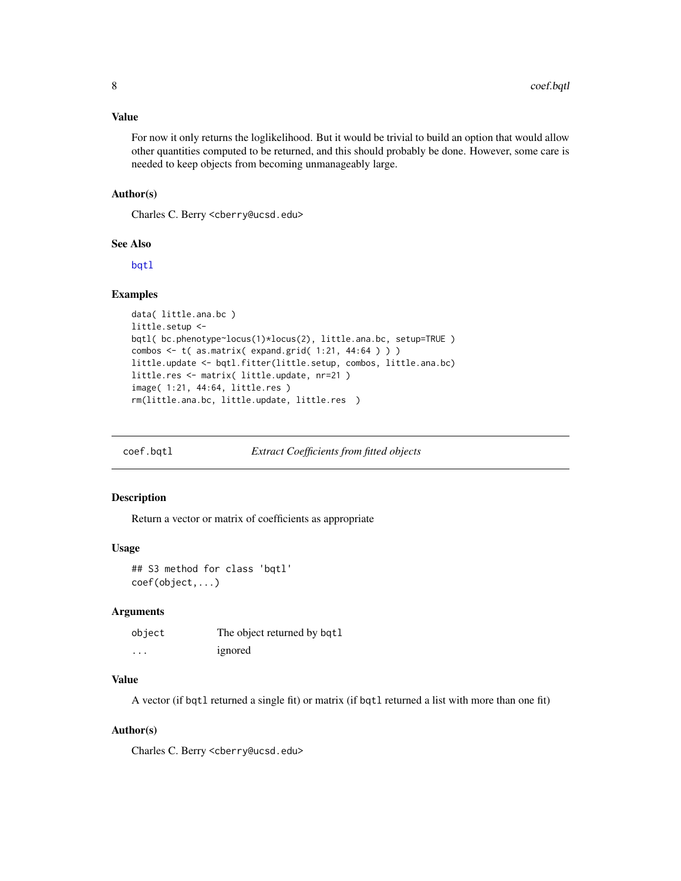### <span id="page-7-0"></span>Value

For now it only returns the loglikelihood. But it would be trivial to build an option that would allow other quantities computed to be returned, and this should probably be done. However, some care is needed to keep objects from becoming unmanageably large.

### Author(s)

Charles C. Berry <cberry@ucsd.edu>

#### See Also

[bqtl](#page-3-1)

### Examples

```
data( little.ana.bc )
little.setup <-
bqtl( bc.phenotype~locus(1)*locus(2), little.ana.bc, setup=TRUE )
combos <- t( as.matrix( expand.grid( 1:21, 44:64 ) ) )
little.update <- bqtl.fitter(little.setup, combos, little.ana.bc)
little.res <- matrix( little.update, nr=21 )
image( 1:21, 44:64, little.res )
rm(little.ana.bc, little.update, little.res )
```
coef.bqtl *Extract Coefficients from fitted objects*

#### Description

Return a vector or matrix of coefficients as appropriate

#### Usage

```
## S3 method for class 'bqtl'
coef(object,...)
```
### Arguments

| object   | The object returned by bqt1 |
|----------|-----------------------------|
| $\cdots$ | ignored                     |

### Value

A vector (if bqtl returned a single fit) or matrix (if bqtl returned a list with more than one fit)

#### Author(s)

Charles C. Berry <cberry@ucsd.edu>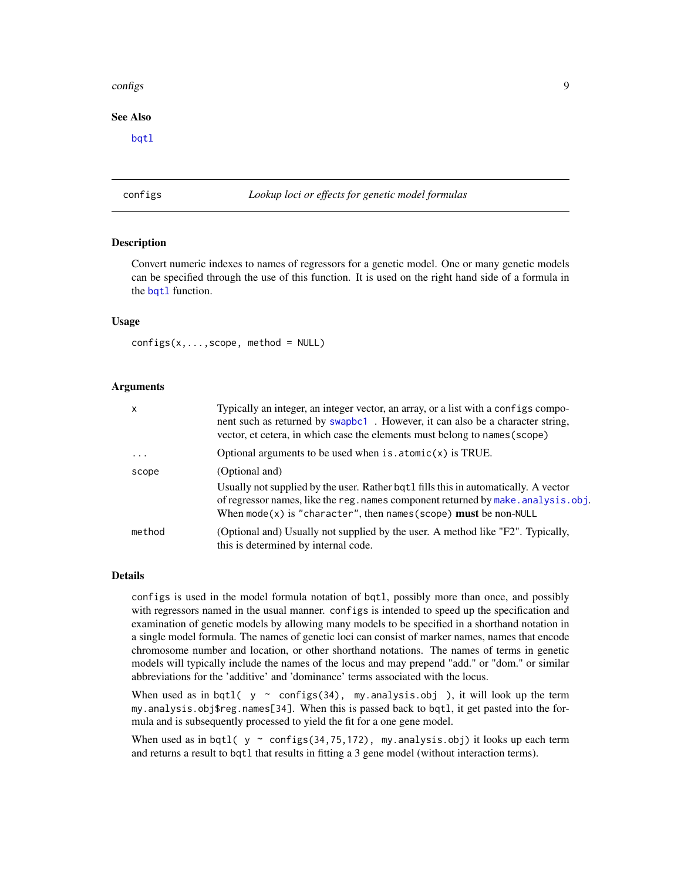#### <span id="page-8-0"></span>configs  $\sim$  9

### See Also

[bqtl](#page-3-1)

### <span id="page-8-1"></span>configs *Lookup loci or effects for genetic model formulas*

#### Description

Convert numeric indexes to names of regressors for a genetic model. One or many genetic models can be specified through the use of this function. It is used on the right hand side of a formula in the [bqtl](#page-3-1) function.

#### Usage

 $configs(x,...,scope, method = NULL)$ 

#### Arguments

| $\mathsf{x}$            | Typically an integer, an integer vector, an array, or a list with a configs compo-<br>nent such as returned by swapbc1. However, it can also be a character string,<br>vector, et cetera, in which case the elements must belong to names (scope) |
|-------------------------|---------------------------------------------------------------------------------------------------------------------------------------------------------------------------------------------------------------------------------------------------|
| $\cdot$ $\cdot$ $\cdot$ | Optional arguments to be used when $is$ . $atomic(x)$ is TRUE.                                                                                                                                                                                    |
| scope                   | (Optional and)                                                                                                                                                                                                                                    |
|                         | Usually not supplied by the user. Rather bqt1 fills this in automatically. A vector<br>of regressor names, like the reg. names component returned by make. analysis. obj.<br>When mode(x) is "character", then names (scope) must be non-NULL     |
| method                  | (Optional and) Usually not supplied by the user. A method like "F2". Typically,<br>this is determined by internal code.                                                                                                                           |

### Details

configs is used in the model formula notation of bqtl, possibly more than once, and possibly with regressors named in the usual manner. configs is intended to speed up the specification and examination of genetic models by allowing many models to be specified in a shorthand notation in a single model formula. The names of genetic loci can consist of marker names, names that encode chromosome number and location, or other shorthand notations. The names of terms in genetic models will typically include the names of the locus and may prepend "add." or "dom." or similar abbreviations for the 'additive' and 'dominance' terms associated with the locus.

When used as in bqtl(  $y \sim$  configs(34), my.analysis.obj), it will look up the term my.analysis.obj\$reg.names[34]. When this is passed back to bqtl, it get pasted into the formula and is subsequently processed to yield the fit for a one gene model.

When used as in bqtl(  $y \sim$  configs(34,75,172), my.analysis.obj) it looks up each term and returns a result to bqtl that results in fitting a 3 gene model (without interaction terms).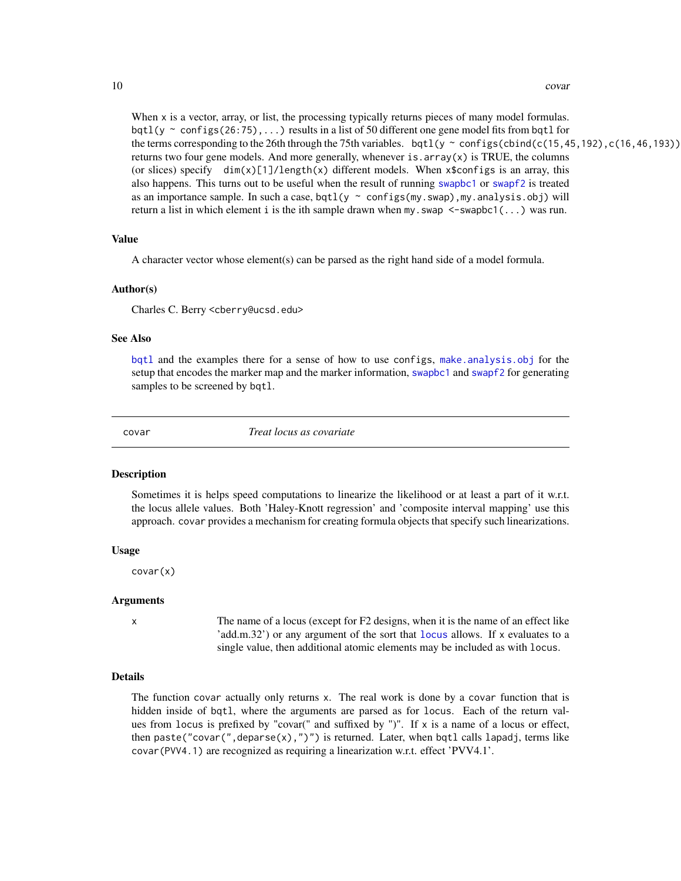#### 10 covar

When x is a vector, array, or list, the processing typically returns pieces of many model formulas. bqtl(y  $\sim$  configs(26:75),...) results in a list of 50 different one gene model fits from bqtl for the terms corresponding to the 26th through the 75th variables. bqtl(y ~ configs(cbind(c(15,45,192),c(16,46,193)) returns two four gene models. And more generally, whenever is  $.$  array( $x$ ) is TRUE, the columns (or slices) specify  $\dim(x)[1]/\text{length}(x)$  different models. When x\$configs is an array, this also happens. This turns out to be useful when the result of running [swapbc1](#page-49-1) or [swapf2](#page-50-1) is treated as an importance sample. In such a case,  $bqtl(y \sim configs(my.sum)$ , my.analysis.obj) will return a list in which element i is the ith sample drawn when my. swap  $\leq$ -swapbc1(...) was run.

### Value

A character vector whose element(s) can be parsed as the right hand side of a model formula.

#### Author(s)

Charles C. Berry <cberry@ucsd.edu>

### See Also

[bqtl](#page-3-1) and the examples there for a sense of how to use configs, [make.analysis.obj](#page-23-1) for the setup that encodes the marker map and the marker information, [swapbc1](#page-49-1) and [swapf2](#page-50-1) for generating samples to be screened by bqtl.

covar *Treat locus as covariate*

#### **Description**

Sometimes it is helps speed computations to linearize the likelihood or at least a part of it w.r.t. the locus allele values. Both 'Haley-Knott regression' and 'composite interval mapping' use this approach. covar provides a mechanism for creating formula objects that specify such linearizations.

#### Usage

covar(x)

#### Arguments

x The name of a locus (except for F2 designs, when it is the name of an effect like 'add.m.32') or any argument of the sort that [locus](#page-21-1) allows. If x evaluates to a single value, then additional atomic elements may be included as with locus.

#### Details

The function covar actually only returns x. The real work is done by a covar function that is hidden inside of bqtl, where the arguments are parsed as for locus. Each of the return values from locus is prefixed by "covar(" and suffixed by ")". If  $x$  is a name of a locus or effect, then paste("covar(",deparse(x),")") is returned. Later, when bqtl calls lapadj, terms like covar(PVV4.1) are recognized as requiring a linearization w.r.t. effect 'PVV4.1'.

<span id="page-9-0"></span>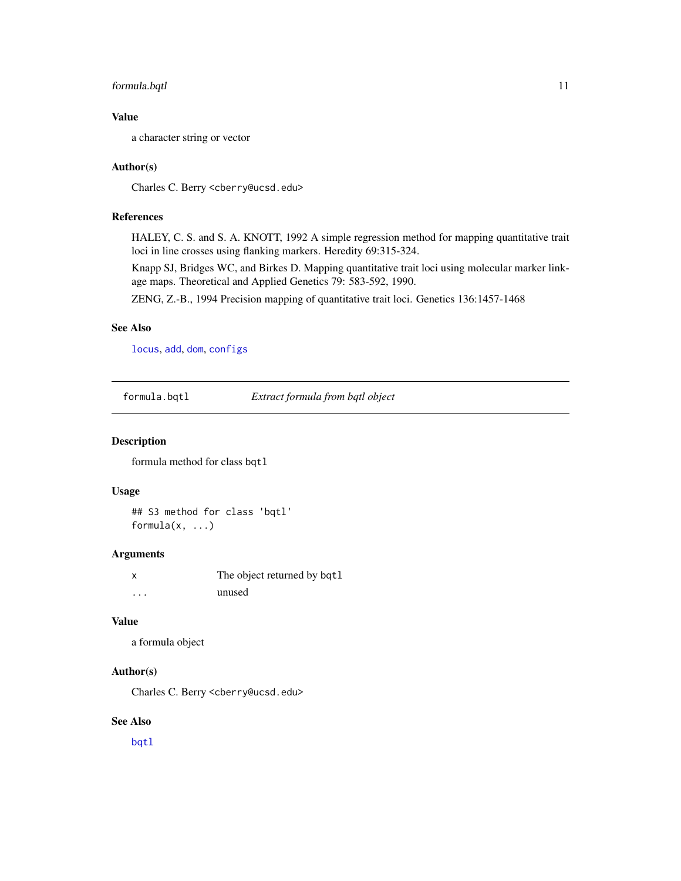### <span id="page-10-0"></span>formula.bqtl 11

### Value

a character string or vector

#### Author(s)

Charles C. Berry <cberry@ucsd.edu>

### References

HALEY, C. S. and S. A. KNOTT, 1992 A simple regression method for mapping quantitative trait loci in line crosses using flanking markers. Heredity 69:315-324.

Knapp SJ, Bridges WC, and Birkes D. Mapping quantitative trait loci using molecular marker linkage maps. Theoretical and Applied Genetics 79: 583-592, 1990.

ZENG, Z.-B., 1994 Precision mapping of quantitative trait loci. Genetics 136:1457-1468

#### See Also

[locus](#page-21-1), [add](#page-21-2), [dom](#page-21-2), [configs](#page-8-1)

formula.bqtl *Extract formula from bqtl object*

### Description

formula method for class bqtl

### Usage

## S3 method for class 'bqtl' formula $(x, \ldots)$ 

#### Arguments

|          | The object returned by bqt1 |
|----------|-----------------------------|
| $\cdots$ | unused                      |

### Value

a formula object

### Author(s)

Charles C. Berry <cberry@ucsd.edu>

#### See Also

[bqtl](#page-3-1)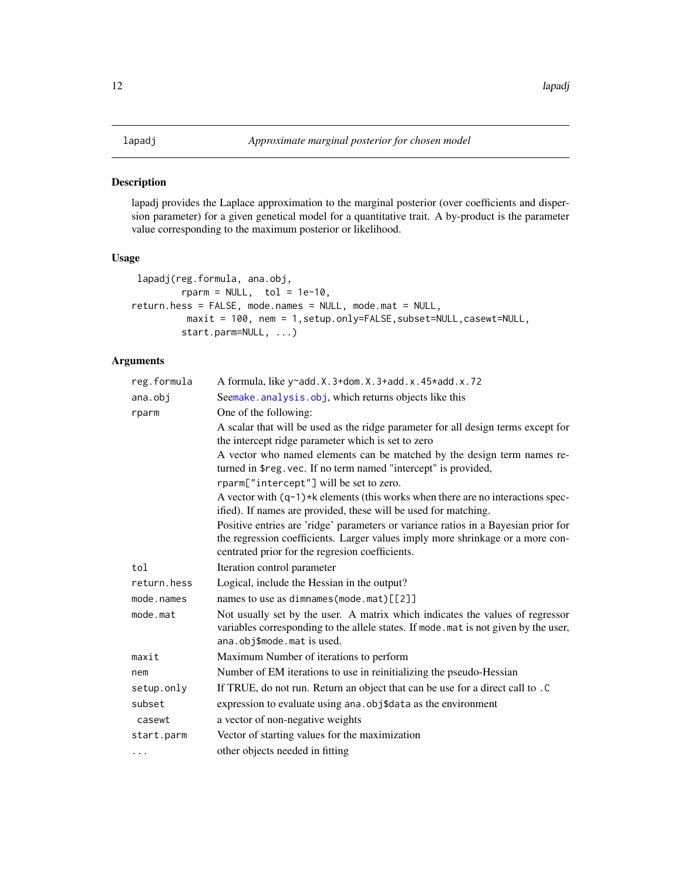#### <span id="page-11-1"></span><span id="page-11-0"></span>Description

lapadj provides the Laplace approximation to the marginal posterior (over coefficients and dispersion parameter) for a given genetical model for a quantitative trait. A by-product is the parameter value corresponding to the maximum posterior or likelihood.

### Usage

```
lapadj(reg.formula, ana.obj,
        rparm = NULL, to1 = 1e-10,return.hess = FALSE, mode.names = NULL, mode.mat = NULL,
         maxit = 100, nem = 1, setup.only=FALSE, subset=NULL, casewt=NULL,
        start.parm=NULL, ...)
```
### Arguments

| reg.formula | A formula, like y~add. X. 3+dom. X. 3+add. x. 45*add. x. 72                                                                                                                                                             |
|-------------|-------------------------------------------------------------------------------------------------------------------------------------------------------------------------------------------------------------------------|
| ana.obj     | Seemake. analysis. obj, which returns objects like this                                                                                                                                                                 |
| rparm       | One of the following:                                                                                                                                                                                                   |
|             | A scalar that will be used as the ridge parameter for all design terms except for<br>the intercept ridge parameter which is set to zero                                                                                 |
|             | A vector who named elements can be matched by the design term names re-<br>turned in \$reg.vec. If no term named "intercept" is provided,                                                                               |
|             | rparm["intercept"] will be set to zero.                                                                                                                                                                                 |
|             | A vector with $(q-1)$ *k elements (this works when there are no interactions spec-<br>ified). If names are provided, these will be used for matching.                                                                   |
|             | Positive entries are 'ridge' parameters or variance ratios in a Bayesian prior for<br>the regression coefficients. Larger values imply more shrinkage or a more con-<br>centrated prior for the regresion coefficients. |
| tol         | Iteration control parameter                                                                                                                                                                                             |
| return.hess | Logical, include the Hessian in the output?                                                                                                                                                                             |
| mode.names  | names to use as dimnames (mode.mat) $[\![2]\!]$                                                                                                                                                                         |
| mode.mat    | Not usually set by the user. A matrix which indicates the values of regressor<br>variables corresponding to the allele states. If mode . mat is not given by the user,<br>ana.obj\$mode.mat is used.                    |
| maxit       | Maximum Number of iterations to perform                                                                                                                                                                                 |
| nem         | Number of EM iterations to use in reinitializing the pseudo-Hessian                                                                                                                                                     |
| setup.only  | If TRUE, do not run. Return an object that can be use for a direct call to . C                                                                                                                                          |
| subset      | expression to evaluate using ana. obj\$data as the environment                                                                                                                                                          |
| casewt      | a vector of non-negative weights                                                                                                                                                                                        |
| start.parm  | Vector of starting values for the maximization                                                                                                                                                                          |
| $\cdots$    | other objects needed in fitting                                                                                                                                                                                         |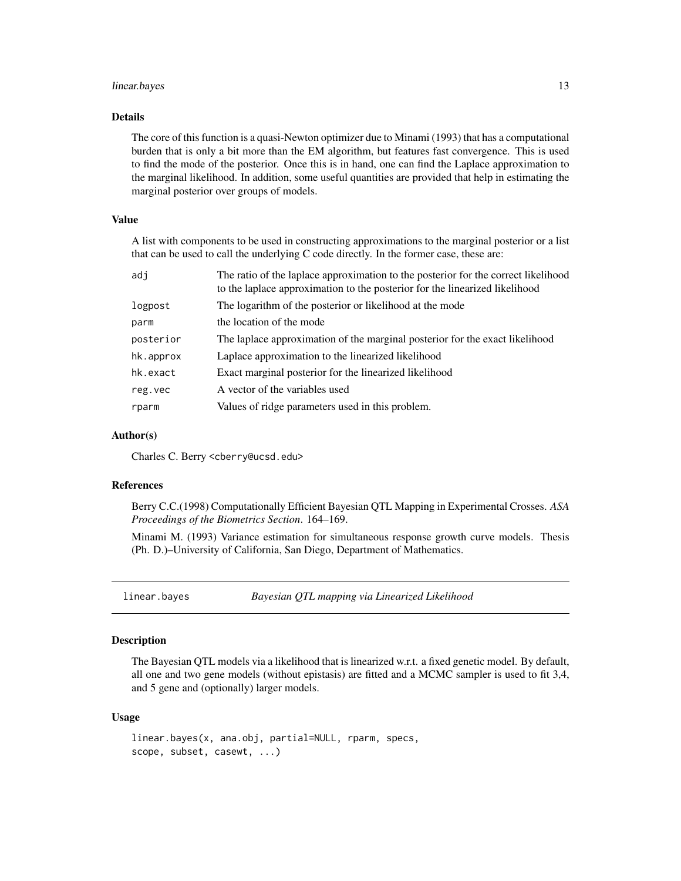### <span id="page-12-0"></span>linear.bayes 13

### Details

The core of this function is a quasi-Newton optimizer due to Minami (1993) that has a computational burden that is only a bit more than the EM algorithm, but features fast convergence. This is used to find the mode of the posterior. Once this is in hand, one can find the Laplace approximation to the marginal likelihood. In addition, some useful quantities are provided that help in estimating the marginal posterior over groups of models.

### Value

A list with components to be used in constructing approximations to the marginal posterior or a list that can be used to call the underlying C code directly. In the former case, these are:

| adi       | The ratio of the laplace approximation to the posterior for the correct likelihood<br>to the laplace approximation to the posterior for the linearized likelihood |
|-----------|-------------------------------------------------------------------------------------------------------------------------------------------------------------------|
| logpost   | The logarithm of the posterior or likelihood at the mode                                                                                                          |
| parm      | the location of the mode                                                                                                                                          |
| posterior | The laplace approximation of the marginal posterior for the exact likelihood                                                                                      |
| hk.approx | Laplace approximation to the linearized likelihood                                                                                                                |
| hk.exact  | Exact marginal posterior for the linearized likelihood                                                                                                            |
| reg.vec   | A vector of the variables used                                                                                                                                    |
| rparm     | Values of ridge parameters used in this problem.                                                                                                                  |
|           |                                                                                                                                                                   |

### Author(s)

Charles C. Berry <cberry@ucsd.edu>

#### References

Berry C.C.(1998) Computationally Efficient Bayesian QTL Mapping in Experimental Crosses. *ASA Proceedings of the Biometrics Section*. 164–169.

Minami M. (1993) Variance estimation for simultaneous response growth curve models. Thesis (Ph. D.)–University of California, San Diego, Department of Mathematics.

<span id="page-12-1"></span>linear.bayes *Bayesian QTL mapping via Linearized Likelihood*

#### **Description**

The Bayesian QTL models via a likelihood that is linearized w.r.t. a fixed genetic model. By default, all one and two gene models (without epistasis) are fitted and a MCMC sampler is used to fit 3,4, and 5 gene and (optionally) larger models.

### Usage

```
linear.bayes(x, ana.obj, partial=NULL, rparm, specs,
scope, subset, casewt, ...)
```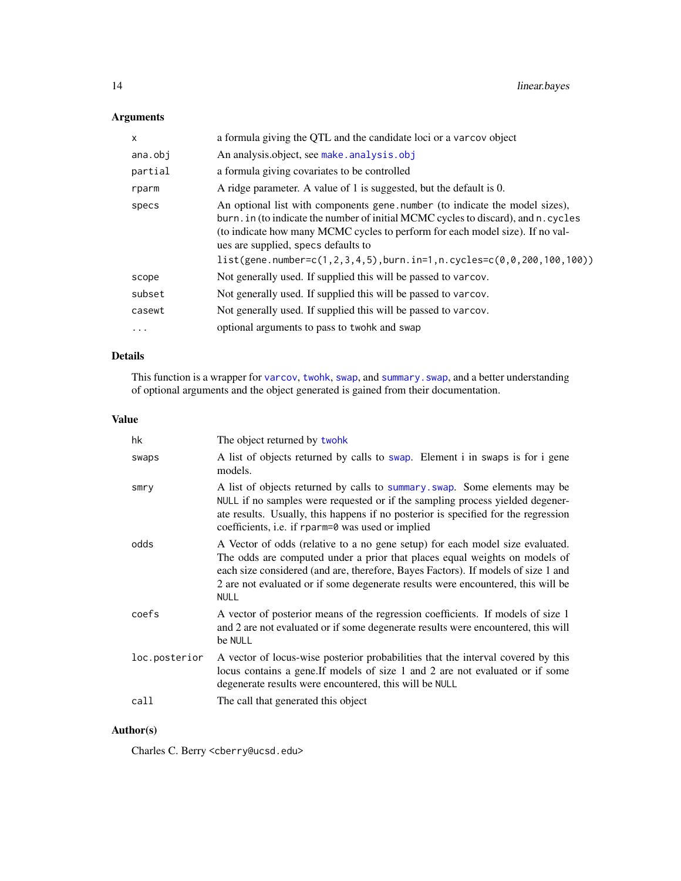### <span id="page-13-0"></span>Arguments

| $\mathsf{x}$ | a formula giving the QTL and the candidate loci or a varcov object                                                                                                                                                                                                                                                                                                             |
|--------------|--------------------------------------------------------------------------------------------------------------------------------------------------------------------------------------------------------------------------------------------------------------------------------------------------------------------------------------------------------------------------------|
| ana.obj      | An analysis.object, see make.analysis.obj                                                                                                                                                                                                                                                                                                                                      |
| partial      | a formula giving covariates to be controlled                                                                                                                                                                                                                                                                                                                                   |
| rparm        | A ridge parameter. A value of 1 is suggested, but the default is 0.                                                                                                                                                                                                                                                                                                            |
| specs        | An optional list with components gene, number (to indicate the model sizes),<br>burn. in (to indicate the number of initial MCMC cycles to discard), and n. cycles<br>(to indicate how many MCMC cycles to perform for each model size). If no val-<br>ues are supplied, specs defaults to<br>$list(gene.number=c(1, 2, 3, 4, 5), burn.in=1, n.cycles=c(0, 0, 200, 100, 100))$ |
| scope        | Not generally used. If supplied this will be passed to varcov.                                                                                                                                                                                                                                                                                                                 |
| subset       | Not generally used. If supplied this will be passed to varcov.                                                                                                                                                                                                                                                                                                                 |
| casewt       | Not generally used. If supplied this will be passed to varcov.                                                                                                                                                                                                                                                                                                                 |
| $\cdots$     | optional arguments to pass to twohk and swap                                                                                                                                                                                                                                                                                                                                   |

### Details

This function is a wrapper for [varcov](#page-55-1), [twohk](#page-52-1), [swap](#page-47-1), and [summary.swap](#page-46-1), and a better understanding of optional arguments and the object generated is gained from their documentation.

### Value

| hk            | The object returned by twohk                                                                                                                                                                                                                                                                                                                        |
|---------------|-----------------------------------------------------------------------------------------------------------------------------------------------------------------------------------------------------------------------------------------------------------------------------------------------------------------------------------------------------|
| swaps         | A list of objects returned by calls to swap. Element i in swaps is for i gene<br>models.                                                                                                                                                                                                                                                            |
| smry          | A list of objects returned by calls to summary swap. Some elements may be<br>NULL if no samples were requested or if the sampling process yielded degener-<br>ate results. Usually, this happens if no posterior is specified for the regression<br>coefficients, i.e. if rparm=0 was used or implied                                               |
| odds          | A Vector of odds (relative to a no gene setup) for each model size evaluated.<br>The odds are computed under a prior that places equal weights on models of<br>each size considered (and are, therefore, Bayes Factors). If models of size 1 and<br>2 are not evaluated or if some degenerate results were encountered, this will be<br><b>NULL</b> |
| coefs         | A vector of posterior means of the regression coefficients. If models of size 1<br>and 2 are not evaluated or if some degenerate results were encountered, this will<br>be NULL                                                                                                                                                                     |
| loc.posterior | A vector of locus-wise posterior probabilities that the interval covered by this<br>locus contains a gene. If models of size 1 and 2 are not evaluated or if some<br>degenerate results were encountered, this will be NULL                                                                                                                         |
| call          | The call that generated this object                                                                                                                                                                                                                                                                                                                 |

### Author(s)

Charles C. Berry <cberry@ucsd.edu>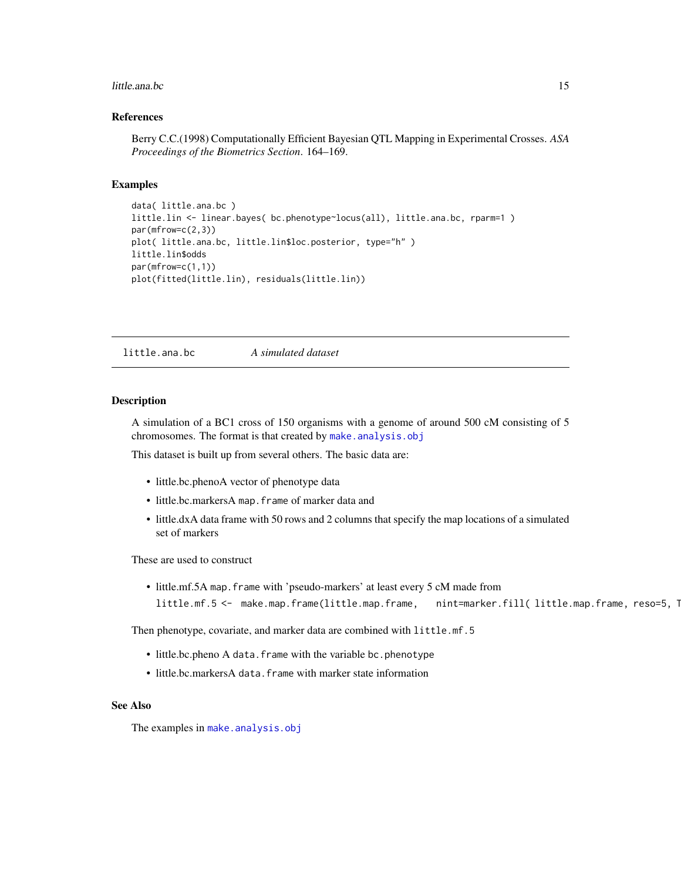#### <span id="page-14-0"></span>little.ana.bc 15

### References

Berry C.C.(1998) Computationally Efficient Bayesian QTL Mapping in Experimental Crosses. *ASA Proceedings of the Biometrics Section*. 164–169.

#### Examples

```
data( little.ana.bc )
little.lin <- linear.bayes( bc.phenotype~locus(all), little.ana.bc, rparm=1 )
par(mfrow=c(2,3))
plot( little.ana.bc, little.lin$loc.posterior, type="h" )
little.lin$odds
par(mfrow=c(1,1))
plot(fitted(little.lin), residuals(little.lin))
```
little.ana.bc *A simulated dataset*

#### Description

A simulation of a BC1 cross of 150 organisms with a genome of around 500 cM consisting of 5 chromosomes. The format is that created by [make.analysis.obj](#page-23-1)

This dataset is built up from several others. The basic data are:

- little.bc.phenoA vector of phenotype data
- little.bc.markersA map.frame of marker data and
- little.dxA data frame with 50 rows and 2 columns that specify the map locations of a simulated set of markers

These are used to construct

• little.mf.5A map.frame with 'pseudo-markers' at least every 5 cM made from little.mf.5 <- make.map.frame(little.map.frame, nint=marker.fill( little.map.frame, reso=5, 1

Then phenotype, covariate, and marker data are combined with little.mf.5

- little.bc.pheno A data. frame with the variable bc.phenotype
- little.bc.markersA data. frame with marker state information

### See Also

The examples in [make.analysis.obj](#page-23-1)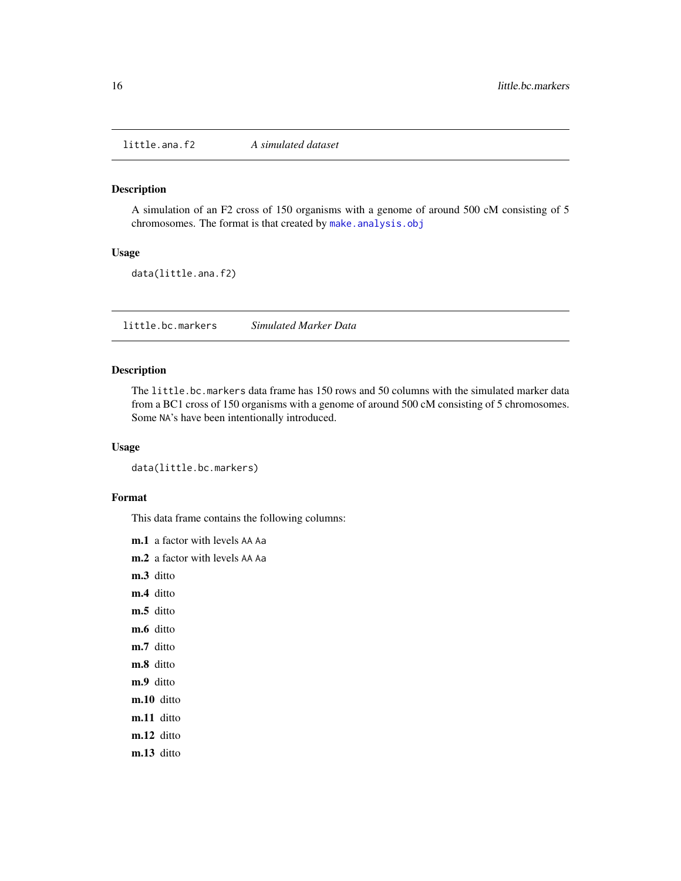<span id="page-15-0"></span>little.ana.f2 *A simulated dataset*

### Description

A simulation of an F2 cross of 150 organisms with a genome of around 500 cM consisting of 5 chromosomes. The format is that created by [make.analysis.obj](#page-23-1)

#### Usage

data(little.ana.f2)

little.bc.markers *Simulated Marker Data*

### Description

The little.bc.markers data frame has 150 rows and 50 columns with the simulated marker data from a BC1 cross of 150 organisms with a genome of around 500 cM consisting of 5 chromosomes. Some NA's have been intentionally introduced.

### Usage

data(little.bc.markers)

#### Format

This data frame contains the following columns:

m.1 a factor with levels AA Aa

- m.2 a factor with levels AA Aa
- m.3 ditto
- m.4 ditto
- m.5 ditto
- m.6 ditto
- m.7 ditto
- m.8 ditto
- m.9 ditto
- m.10 ditto
- m.11 ditto
- m.12 ditto
- m.13 ditto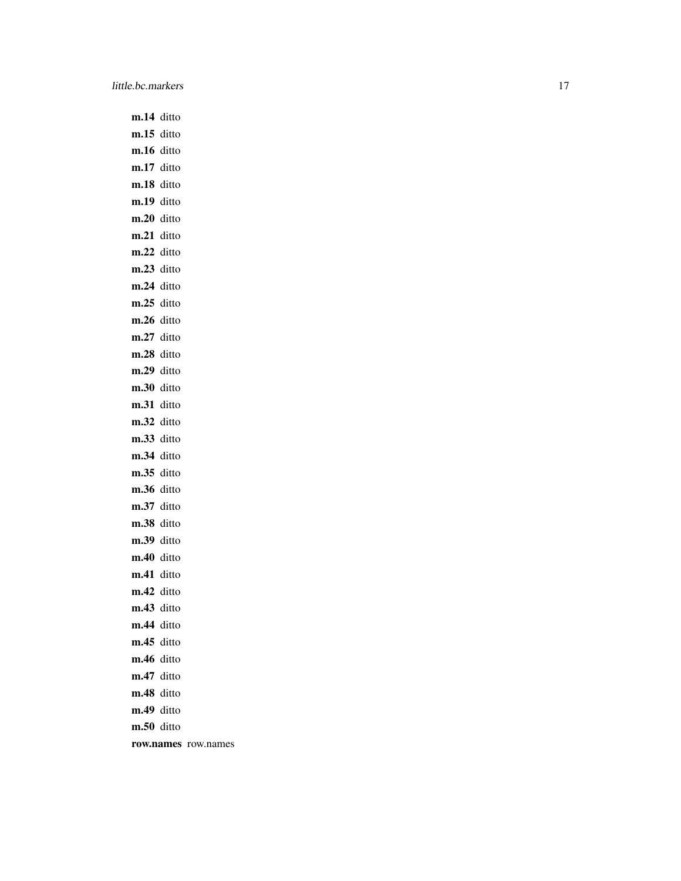m.14 ditto m.15 ditto m.16 ditto m.17 ditto m.18 ditto m.19 ditto m.20 ditto m.21 ditto m.22 ditto m.23 ditto m.24 ditto m.25 ditto m.26 ditto m.27 ditto m.28 ditto m.29 ditto m.30 ditto m.31 ditto m.32 ditto m.33 ditto m.34 ditto m.35 ditto m.36 ditto m.37 ditto m.38 ditto m.39 ditto m.40 ditto m.41 ditto m.42 ditto m.43 ditto m.44 ditto m.45 ditto m.46 ditto m.47 ditto m.48 ditto m.49 ditto m.50 ditto row.names row.names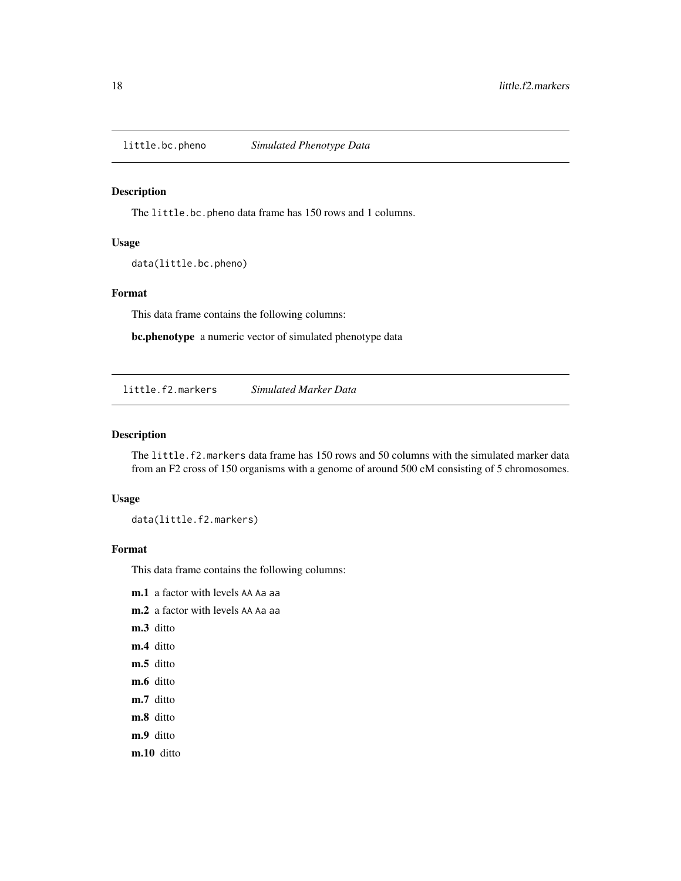<span id="page-17-0"></span>

### Description

The little.bc.pheno data frame has 150 rows and 1 columns.

#### Usage

data(little.bc.pheno)

### Format

This data frame contains the following columns:

bc.phenotype a numeric vector of simulated phenotype data

little.f2.markers *Simulated Marker Data*

### Description

The little.f2.markers data frame has 150 rows and 50 columns with the simulated marker data from an F2 cross of 150 organisms with a genome of around 500 cM consisting of 5 chromosomes.

#### Usage

data(little.f2.markers)

### Format

This data frame contains the following columns:

- m.1 a factor with levels AA Aa aa
- m.2 a factor with levels AA Aa aa
- m.3 ditto
- m.4 ditto
- m.5 ditto
- m.6 ditto
- m.7 ditto
- m.8 ditto
- m.9 ditto
- m.10 ditto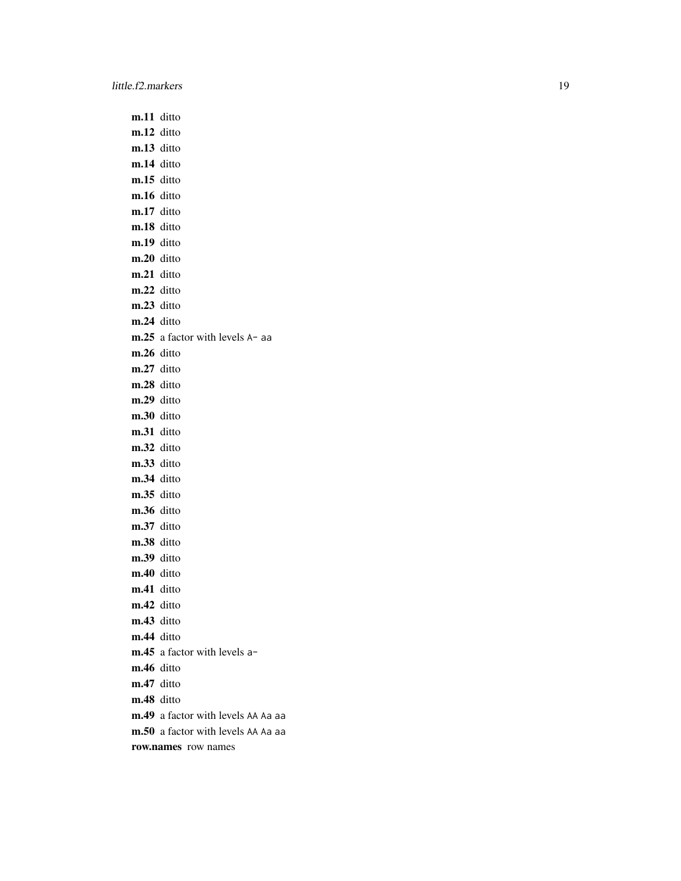m.11 ditto m.12 ditto m.13 ditto m.14 ditto m.15 ditto m.16 ditto m.17 ditto m.18 ditto m.19 ditto m.20 ditto m.21 ditto m.22 ditto m.23 ditto m.24 ditto m.25 a factor with levels A- aa m.26 ditto m.27 ditto m.28 ditto m.29 ditto m.30 ditto m.31 ditto m.32 ditto m.33 ditto m.34 ditto m.35 ditto m.36 ditto m.37 ditto m.38 ditto m.39 ditto m.40 ditto m.41 ditto m.42 ditto m.43 ditto m.44 ditto m.45 a factor with levels am.46 ditto m.47 ditto m.48 ditto m.49 a factor with levels AA Aa aa m.50 a factor with levels AA Aa aa row.names row names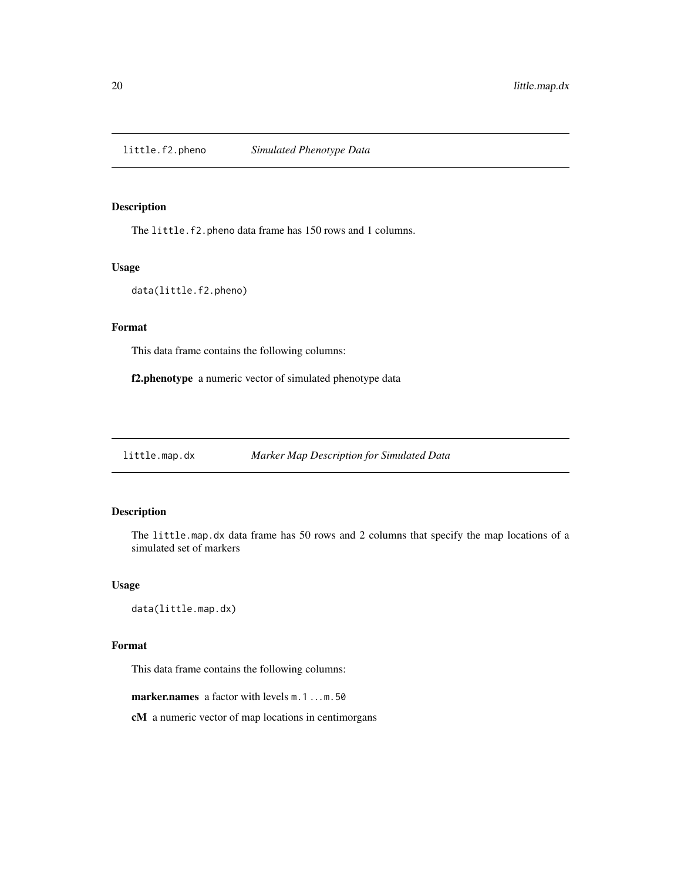<span id="page-19-0"></span>little.f2.pheno *Simulated Phenotype Data*

### Description

The little.f2.pheno data frame has 150 rows and 1 columns.

#### Usage

```
data(little.f2.pheno)
```
### Format

This data frame contains the following columns:

f2.phenotype a numeric vector of simulated phenotype data

<span id="page-19-1"></span>little.map.dx *Marker Map Description for Simulated Data*

### Description

The little.map.dx data frame has 50 rows and 2 columns that specify the map locations of a simulated set of markers

### Usage

data(little.map.dx)

### Format

This data frame contains the following columns:

marker.names a factor with levels m.1...m.50

cM a numeric vector of map locations in centimorgans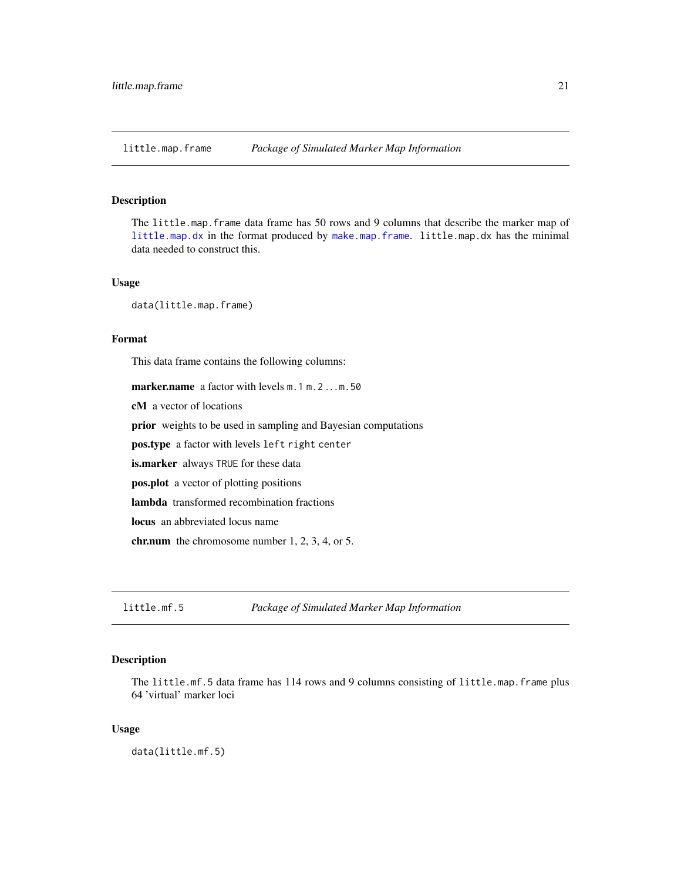<span id="page-20-0"></span>little.map.frame *Package of Simulated Marker Map Information*

#### Description

The little.map.frame data frame has 50 rows and 9 columns that describe the marker map of [little.map.dx](#page-19-1) in the format produced by [make.map.frame](#page-27-1). little.map.dx has the minimal data needed to construct this.

### Usage

data(little.map.frame)

### Format

This data frame contains the following columns:

marker.name a factor with levels m. 1 m. 2 ... m. 50 cM a vector of locations

prior weights to be used in sampling and Bayesian computations

pos.type a factor with levels left right center

is.marker always TRUE for these data

pos.plot a vector of plotting positions

lambda transformed recombination fractions

locus an abbreviated locus name

chr.num the chromosome number 1, 2, 3, 4, or 5.

little.mf.5 *Package of Simulated Marker Map Information*

### Description

The little.mf.5 data frame has 114 rows and 9 columns consisting of little.map.frame plus 64 'virtual' marker loci

### Usage

data(little.mf.5)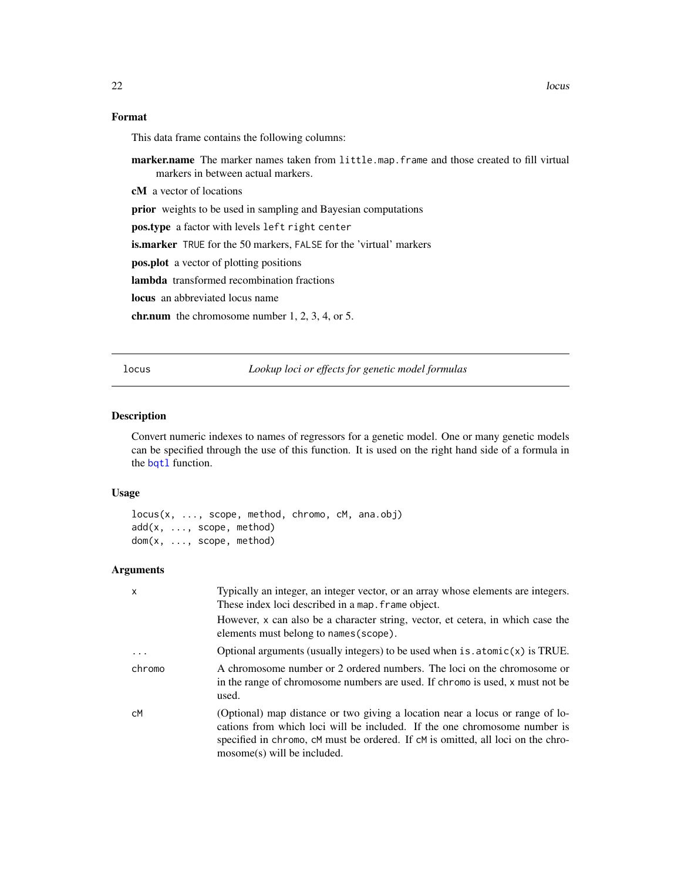### Format

This data frame contains the following columns:

marker.name The marker names taken from little.map.frame and those created to fill virtual markers in between actual markers.

cM a vector of locations

prior weights to be used in sampling and Bayesian computations

pos.type a factor with levels left right center

is.marker TRUE for the 50 markers, FALSE for the 'virtual' markers

pos.plot a vector of plotting positions

lambda transformed recombination fractions

locus an abbreviated locus name

chr.num the chromosome number 1, 2, 3, 4, or 5.

<span id="page-21-1"></span>

locus *Lookup loci or effects for genetic model formulas*

### <span id="page-21-2"></span>Description

Convert numeric indexes to names of regressors for a genetic model. One or many genetic models can be specified through the use of this function. It is used on the right hand side of a formula in the [bqtl](#page-3-1) function.

### Usage

```
locus(x, ..., scope, method, chromo, cM, ana.obj)
add(x, ..., scope, method)
dom(x, ..., scope, method)
```
### Arguments

| $\mathsf{x}$ | Typically an integer, an integer vector, or an array whose elements are integers.<br>These index loci described in a map. frame object.                                                                                                                                         |
|--------------|---------------------------------------------------------------------------------------------------------------------------------------------------------------------------------------------------------------------------------------------------------------------------------|
|              | However, x can also be a character string, vector, et cetera, in which case the<br>elements must belong to names (scope).                                                                                                                                                       |
| .            | Optional arguments (usually integers) to be used when $is$ atomic $(x)$ is TRUE.                                                                                                                                                                                                |
| chromo       | A chromosome number or 2 ordered numbers. The loci on the chromosome or<br>in the range of chromosome numbers are used. If chromo is used, x must not be<br>used.                                                                                                               |
| сM           | (Optional) map distance or two giving a location near a locus or range of lo-<br>cations from which loci will be included. If the one chromosome number is<br>specified in chromo, cM must be ordered. If cM is omitted, all loci on the chro-<br>$mosome(s)$ will be included. |

<span id="page-21-0"></span>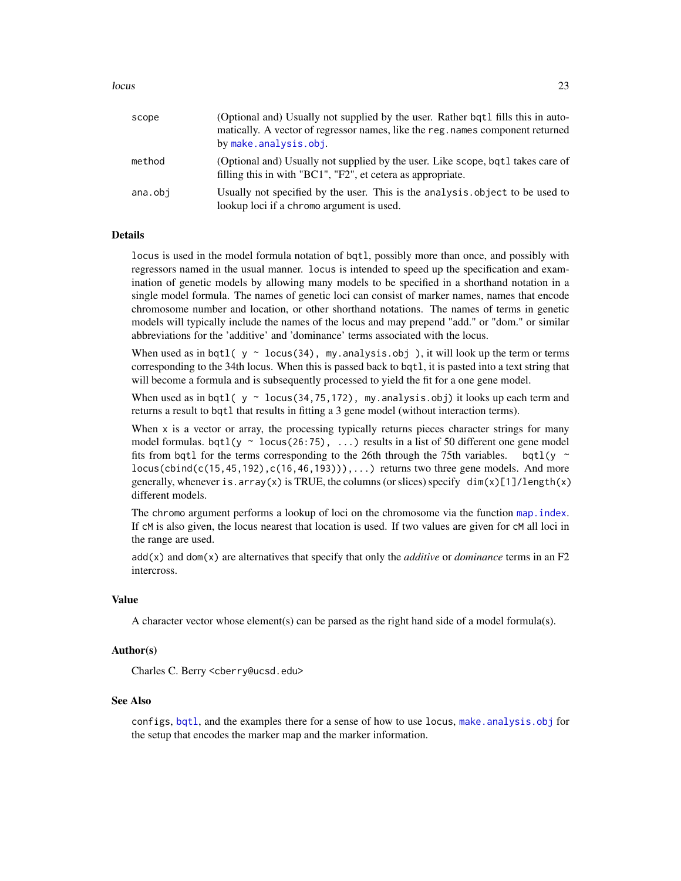<span id="page-22-0"></span>

| scope   | (Optional and) Usually not supplied by the user. Rather bat1 fills this in auto-<br>matically. A vector of regressor names, like the reg. names component returned<br>by make.analysis.obj. |
|---------|---------------------------------------------------------------------------------------------------------------------------------------------------------------------------------------------|
| method  | (Optional and) Usually not supplied by the user. Like scope, bqt1 takes care of<br>filling this in with "BC1", "F2", et cetera as appropriate.                                              |
| ana.obi | Usually not specified by the user. This is the analysis object to be used to<br>lookup loci if a chromo argument is used.                                                                   |

#### Details

locus is used in the model formula notation of bqtl, possibly more than once, and possibly with regressors named in the usual manner. locus is intended to speed up the specification and examination of genetic models by allowing many models to be specified in a shorthand notation in a single model formula. The names of genetic loci can consist of marker names, names that encode chromosome number and location, or other shorthand notations. The names of terms in genetic models will typically include the names of the locus and may prepend "add." or "dom." or similar abbreviations for the 'additive' and 'dominance' terms associated with the locus.

When used as in bqtl(  $y \sim$  locus(34), my.analysis.obj), it will look up the term or terms corresponding to the 34th locus. When this is passed back to bqtl, it is pasted into a text string that will become a formula and is subsequently processed to yield the fit for a one gene model.

When used as in bqtl(  $y \sim$  locus(34,75,172), my.analysis.obj) it looks up each term and returns a result to bqtl that results in fitting a 3 gene model (without interaction terms).

When  $x$  is a vector or array, the processing typically returns pieces character strings for many model formulas. bqtl(y  $\sim$  locus(26:75), ...) results in a list of 50 different one gene model fits from bqtl for the terms corresponding to the 26th through the 75th variables. bqtl(y  $\sim$  $locus(cbind(c(15, 45, 192), c(16, 46, 193))), \ldots)$  returns two three gene models. And more generally, whenever is.array(x) is TRUE, the columns (or slices) specify  $\dim(x)[1]/\text{length}(x)$ different models.

The chromo argument performs a lookup of loci on the chromosome via the function [map.index](#page-32-1). If cM is also given, the locus nearest that location is used. If two values are given for cM all loci in the range are used.

add(x) and dom(x) are alternatives that specify that only the *additive* or *dominance* terms in an F2 intercross.

#### Value

A character vector whose element(s) can be parsed as the right hand side of a model formula(s).

#### Author(s)

Charles C. Berry <cberry@ucsd.edu>

#### See Also

configs, [bqtl](#page-3-1), and the examples there for a sense of how to use locus, [make.analysis.obj](#page-23-1) for the setup that encodes the marker map and the marker information.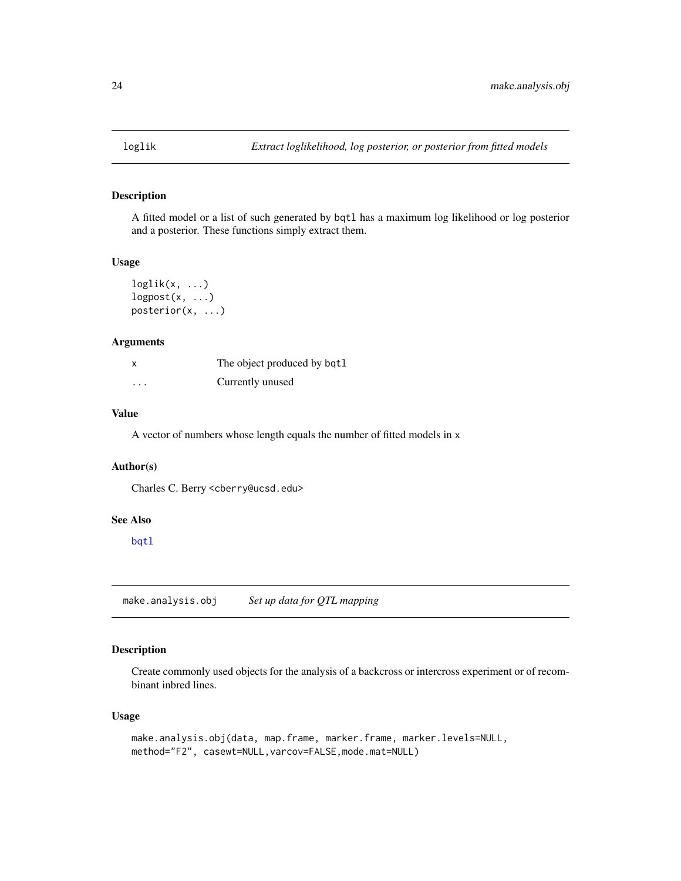<span id="page-23-0"></span>

### Description

A fitted model or a list of such generated by bqtl has a maximum log likelihood or log posterior and a posterior. These functions simply extract them.

### Usage

```
loglik(x, \ldots)logpost(x, \ldots)posterior(x, ...)
```
### Arguments

|          | The object produced by bqt1 |
|----------|-----------------------------|
| $\cdots$ | Currently unused            |

#### Value

A vector of numbers whose length equals the number of fitted models in x

#### Author(s)

Charles C. Berry <cberry@ucsd.edu>

#### See Also

[bqtl](#page-3-1)

<span id="page-23-1"></span>make.analysis.obj *Set up data for QTL mapping*

### Description

Create commonly used objects for the analysis of a backcross or intercross experiment or of recombinant inbred lines.

### Usage

```
make.analysis.obj(data, map.frame, marker.frame, marker.levels=NULL,
method="F2", casewt=NULL,varcov=FALSE,mode.mat=NULL)
```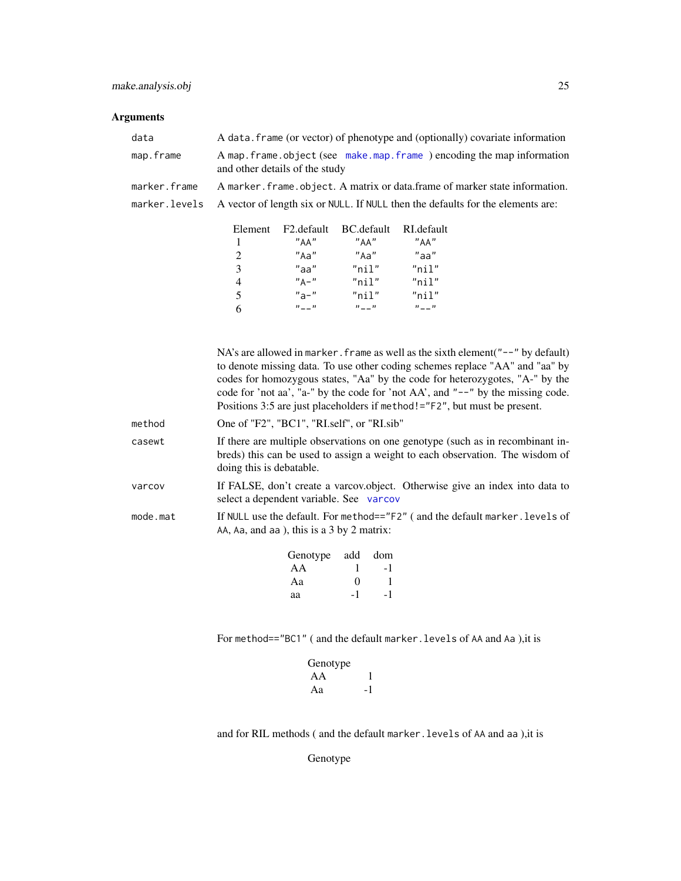### <span id="page-24-0"></span>Arguments

| data         | A data. frame (or vector) of phenotype and (optionally) covariate information                             |
|--------------|-----------------------------------------------------------------------------------------------------------|
| map.frame    | A map. frame. object (see make.map. frame) encoding the map information<br>and other details of the study |
| marker.frame | A marker, frame, object. A matrix or data, frame of marker state information.                             |
|              | marker. Levels A vector of length six or NULL. If NULL then the defaults for the elements are:            |
|              |                                                                                                           |

| Element        | F2.default        | BC.default  | RL default  |
|----------------|-------------------|-------------|-------------|
| $\overline{1}$ | "AA"              | "AA"        | "AA"        |
| 2              | "Aa"              | "Aa"        | "aa"        |
| 3              | "aa"              | $"$ nil $"$ | $"$ nil"    |
| $\overline{4}$ | $''$ $\Delta -$ " | $"$ nil"    | $"$ nil $"$ |
| 5              | $"a-"$            | $"$ nil $"$ | $"$ nil $"$ |
| -6             | $n_{--}$          | $n_{--}$    | $n_{--}$    |

|          | NA's are allowed in marker. frame as well as the sixth element $"$ --" by default)<br>to denote missing data. To use other coding schemes replace "AA" and "aa" by<br>codes for homozygous states, "Aa" by the code for heterozygotes, "A-" by the<br>code for 'not aa', "a-" by the code for 'not AA', and "--" by the missing code.<br>Positions 3:5 are just placeholders if method! $=$ "F2", but must be present. |
|----------|------------------------------------------------------------------------------------------------------------------------------------------------------------------------------------------------------------------------------------------------------------------------------------------------------------------------------------------------------------------------------------------------------------------------|
| method   | One of "F2", "BC1", "RI.self", or "RI.sib"                                                                                                                                                                                                                                                                                                                                                                             |
| casewt   | If there are multiple observations on one genotype (such as in recombinant in-<br>breds) this can be used to assign a weight to each observation. The wisdom of<br>doing this is debatable.                                                                                                                                                                                                                            |
| varcov   | If FALSE, don't create a varcov.object. Otherwise give an index into data to<br>select a dependent variable. See varcov                                                                                                                                                                                                                                                                                                |
| mode.mat | If NULL use the default. For method=="F2" (and the default marker. levels of<br>AA, Aa, and aa ), this is a $3$ by $2$ matrix:                                                                                                                                                                                                                                                                                         |
|          | dom<br>Genotype<br>add                                                                                                                                                                                                                                                                                                                                                                                                 |

| Genotype add dom |                   |    |
|------------------|-------------------|----|
| AA               |                   | -1 |
| Aa               | $\mathbf{\Omega}$ |    |
| aa               | -1                | -1 |

For method=="BC1" (and the default marker.levels of AA and Aa ), it is

| Genotype |    |
|----------|----|
| AA       |    |
| Aa       | -1 |

and for RIL methods ( and the default marker. levels of AA and aa ), it is

Genotype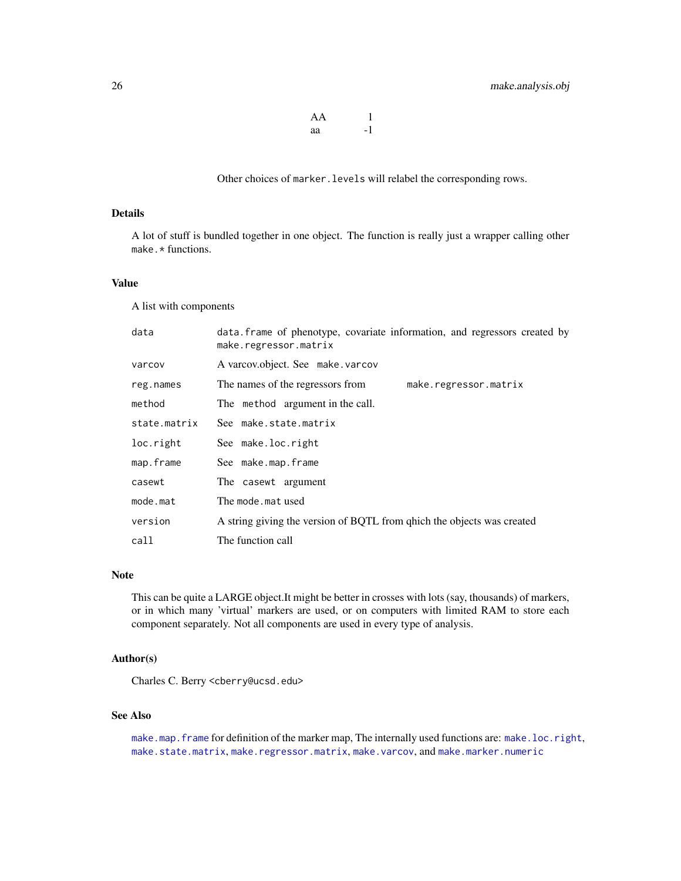| AA |    |
|----|----|
| аа | -1 |

Other choices of marker.levels will relabel the corresponding rows.

### <span id="page-25-0"></span>Details

A lot of stuff is bundled together in one object. The function is really just a wrapper calling other make.\* functions.

### Value

A list with components

| data. frame of phenotype, covariate information, and regressors created by<br>make.regressor.matrix |
|-----------------------------------------------------------------------------------------------------|
| A varcov.object. See make.varcov                                                                    |
| The names of the regressors from<br>make.regressor.matrix                                           |
| The method argument in the call.                                                                    |
| See make.state.matrix                                                                               |
| See make.loc.right                                                                                  |
| See make.map.frame                                                                                  |
| The casewt argument                                                                                 |
| The mode.mat used                                                                                   |
| A string giving the version of BQTL from q hich the objects was created                             |
| The function call                                                                                   |
|                                                                                                     |

#### Note

This can be quite a LARGE object.It might be better in crosses with lots (say, thousands) of markers, or in which many 'virtual' markers are used, or on computers with limited RAM to store each component separately. Not all components are used in every type of analysis.

### Author(s)

Charles C. Berry <cberry@ucsd.edu>

### See Also

[make.map.frame](#page-27-1) for definition of the marker map, The internally used functions are: [make.loc.right](#page-26-1), [make.state.matrix](#page-30-1), [make.regressor.matrix](#page-30-2), [make.varcov](#page-31-1), and [make.marker.numeric](#page-29-1)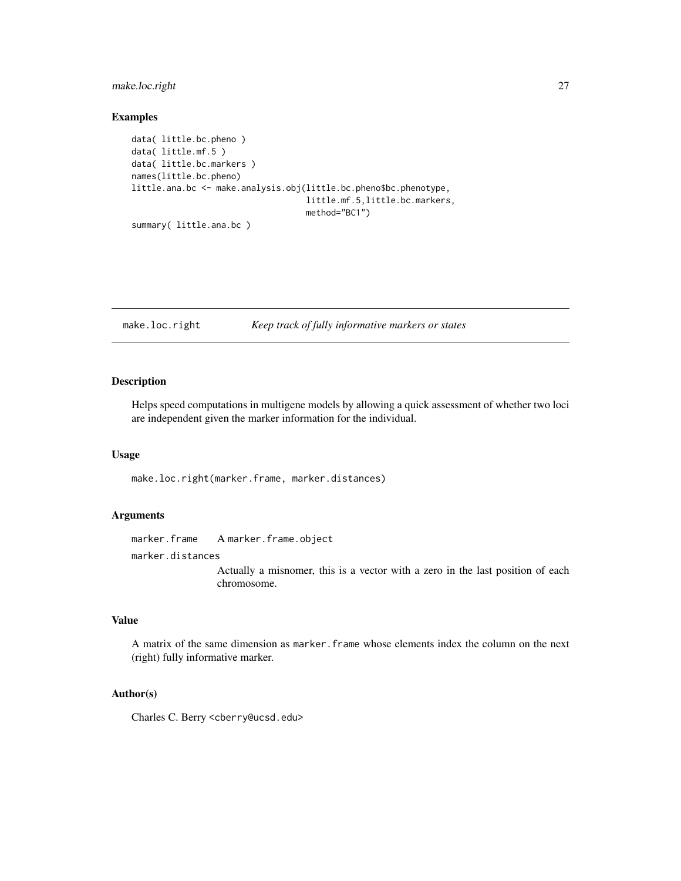### <span id="page-26-0"></span>make.loc.right 27

### Examples

```
data( little.bc.pheno )
data( little.mf.5 )
data( little.bc.markers )
names(little.bc.pheno)
little.ana.bc <- make.analysis.obj(little.bc.pheno$bc.phenotype,
                                   little.mf.5,little.bc.markers,
                                   method="BC1")
summary( little.ana.bc )
```
<span id="page-26-1"></span>make.loc.right *Keep track of fully informative markers or states*

### Description

Helps speed computations in multigene models by allowing a quick assessment of whether two loci are independent given the marker information for the individual.

#### Usage

make.loc.right(marker.frame, marker.distances)

### Arguments

marker.frame A marker.frame.object

marker.distances

Actually a misnomer, this is a vector with a zero in the last position of each chromosome.

#### Value

A matrix of the same dimension as marker.frame whose elements index the column on the next (right) fully informative marker.

### Author(s)

Charles C. Berry <cberry@ucsd.edu>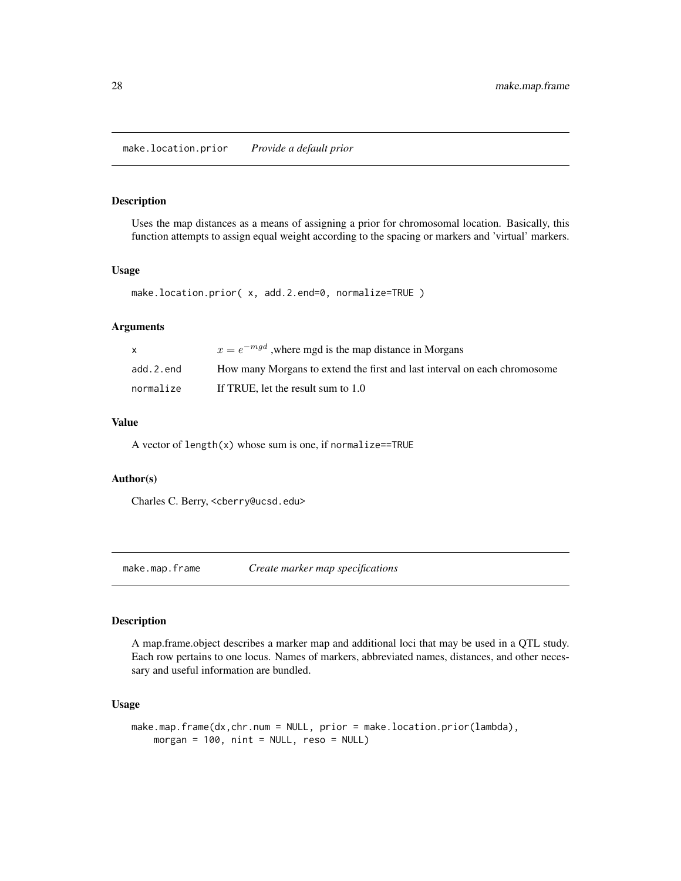### <span id="page-27-0"></span>Description

Uses the map distances as a means of assigning a prior for chromosomal location. Basically, this function attempts to assign equal weight according to the spacing or markers and 'virtual' markers.

### Usage

```
make.location.prior( x, add.2.end=0, normalize=TRUE )
```
### Arguments

|           | $x = e^{-mgd}$ , where mgd is the map distance in Morgans                 |
|-----------|---------------------------------------------------------------------------|
| add.2.end | How many Morgans to extend the first and last interval on each chromosome |
| normalize | If TRUE, let the result sum to 1.0                                        |

### Value

A vector of  $length(x)$  whose sum is one, if normalize==TRUE

#### Author(s)

Charles C. Berry, <cberry@ucsd.edu>

<span id="page-27-1"></span>make.map.frame *Create marker map specifications*

#### Description

A map.frame.object describes a marker map and additional loci that may be used in a QTL study. Each row pertains to one locus. Names of markers, abbreviated names, distances, and other necessary and useful information are bundled.

#### Usage

```
make.map.frame(dx,chr.num = NULL, prior = make.location.prior(lambda),
   morgan = 100, nint = NULL, reso = NULL)
```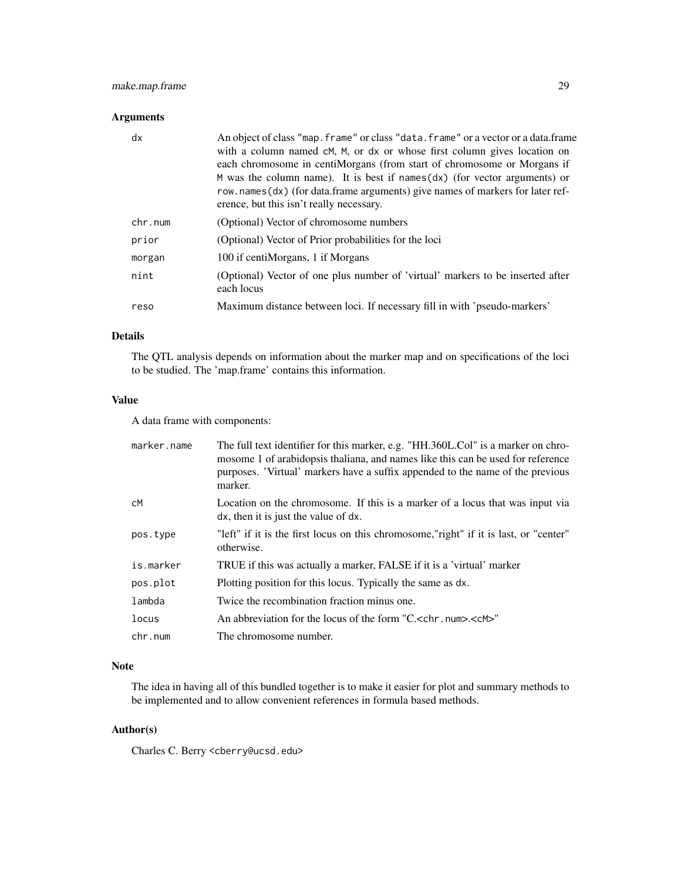### make.map.frame 29

### Arguments

| dx      | An object of class "map. frame" or class "data. frame" or a vector or a data. frame<br>with a column named cM, M, or dx or whose first column gives location on<br>each chromosome in centiMorgans (from start of chromosome or Morgans if<br>$M$ was the column name). It is best if names $(dx)$ (for vector arguments) or<br>row.names(dx) (for data.frame arguments) give names of markers for later ref-<br>erence, but this isn't really necessary. |
|---------|-----------------------------------------------------------------------------------------------------------------------------------------------------------------------------------------------------------------------------------------------------------------------------------------------------------------------------------------------------------------------------------------------------------------------------------------------------------|
| chr.num | (Optional) Vector of chromosome numbers                                                                                                                                                                                                                                                                                                                                                                                                                   |
| prior   | (Optional) Vector of Prior probabilities for the loci                                                                                                                                                                                                                                                                                                                                                                                                     |
| morgan  | 100 if centiMorgans, 1 if Morgans                                                                                                                                                                                                                                                                                                                                                                                                                         |
| nint    | (Optional) Vector of one plus number of 'virtual' markers to be inserted after<br>each locus                                                                                                                                                                                                                                                                                                                                                              |
| reso    | Maximum distance between loci. If necessary fill in with 'pseudo-markers'                                                                                                                                                                                                                                                                                                                                                                                 |
|         |                                                                                                                                                                                                                                                                                                                                                                                                                                                           |

### Details

The QTL analysis depends on information about the marker map and on specifications of the loci to be studied. The 'map.frame' contains this information.

#### Value

A data frame with components:

| marker.name | The full text identifier for this marker, e.g. "HH.360L.Col" is a marker on chro-<br>mosome 1 of arabidopsis thaliana, and names like this can be used for reference<br>purposes. 'Virtual' markers have a suffix appended to the name of the previous<br>marker. |
|-------------|-------------------------------------------------------------------------------------------------------------------------------------------------------------------------------------------------------------------------------------------------------------------|
| сM          | Location on the chromosome. If this is a marker of a locus that was input via<br>dx, then it is just the value of dx.                                                                                                                                             |
| pos.type    | "left" if it is the first locus on this chromosome,"right" if it is last, or "center"<br>otherwise.                                                                                                                                                               |
| is.marker   | TRUE if this was actually a marker, FALSE if it is a 'virtual' marker                                                                                                                                                                                             |
| pos.plot    | Plotting position for this locus. Typically the same as dx.                                                                                                                                                                                                       |
| lambda      | Twice the recombination fraction minus one.                                                                                                                                                                                                                       |
| locus       | An abbreviation for the locus of the form "C, < chr. num>. <cm>"</cm>                                                                                                                                                                                             |
| chr.num     | The chromosome number.                                                                                                                                                                                                                                            |

#### Note

The idea in having all of this bundled together is to make it easier for plot and summary methods to be implemented and to allow convenient references in formula based methods.

### Author(s)

Charles C. Berry <cberry@ucsd.edu>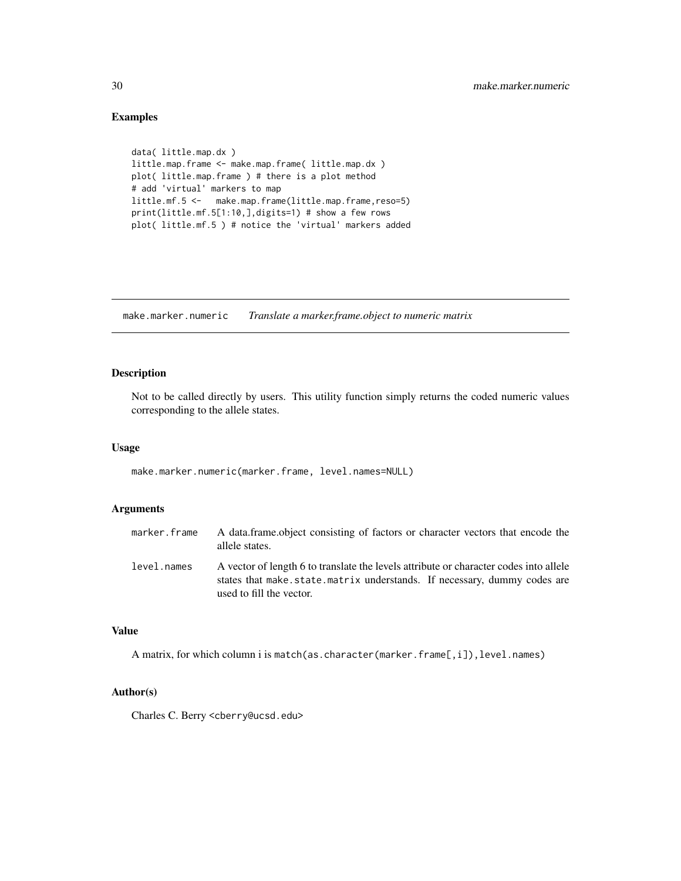### Examples

```
data( little.map.dx )
little.map.frame <- make.map.frame( little.map.dx )
plot( little.map.frame ) # there is a plot method
# add 'virtual' markers to map
little.mf.5 <- make.map.frame(little.map.frame,reso=5)
print(little.mf.5[1:10,],digits=1) # show a few rows
plot( little.mf.5 ) # notice the 'virtual' markers added
```
<span id="page-29-1"></span>make.marker.numeric *Translate a marker.frame.object to numeric matrix*

### Description

Not to be called directly by users. This utility function simply returns the coded numeric values corresponding to the allele states.

#### Usage

make.marker.numeric(marker.frame, level.names=NULL)

### Arguments

| marker.frame | A data frame object consisting of factors or character vectors that encode the<br>allele states.                                                                                              |
|--------------|-----------------------------------------------------------------------------------------------------------------------------------------------------------------------------------------------|
| level.names  | A vector of length 6 to translate the levels attribute or character codes into allele<br>states that make state matrix understands. If necessary, dummy codes are<br>used to fill the vector. |

### Value

A matrix, for which column i is match(as.character(marker.frame[,i]),level.names)

#### Author(s)

Charles C. Berry <cberry@ucsd.edu>

<span id="page-29-0"></span>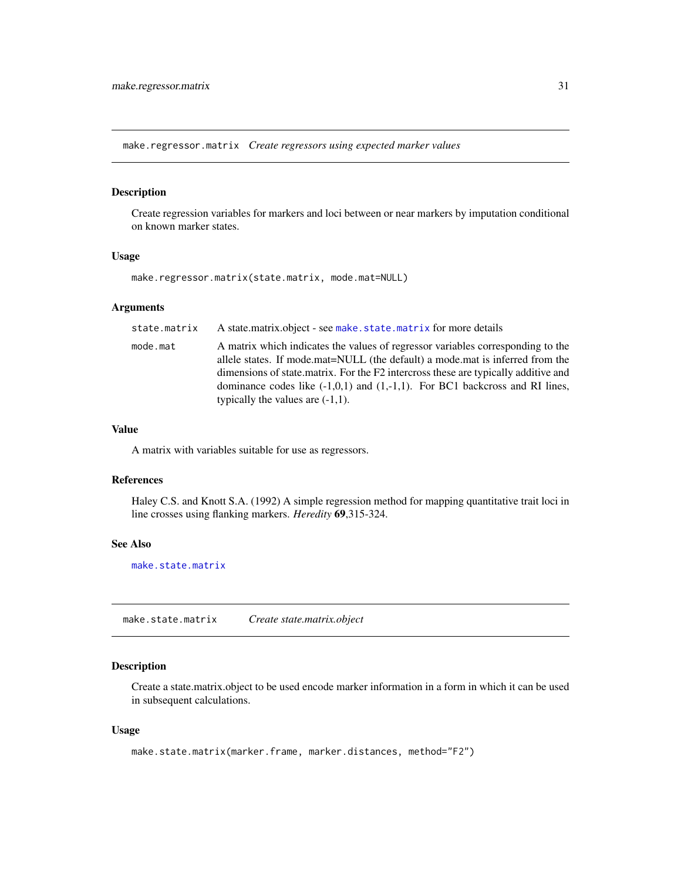<span id="page-30-2"></span><span id="page-30-0"></span>make.regressor.matrix *Create regressors using expected marker values*

#### Description

Create regression variables for markers and loci between or near markers by imputation conditional on known marker states.

### Usage

make.regressor.matrix(state.matrix, mode.mat=NULL)

#### Arguments

| state.matrix | A state matrix object - see make . state matrix for more details                                                                                                                                                                                                                                                                                                                  |
|--------------|-----------------------------------------------------------------------------------------------------------------------------------------------------------------------------------------------------------------------------------------------------------------------------------------------------------------------------------------------------------------------------------|
| mode.mat     | A matrix which indicates the values of regressor variables corresponding to the<br>allele states. If mode mat=NULL (the default) a mode mat is inferred from the<br>dimensions of state matrix. For the F2 intercross these are typically additive and<br>dominance codes like $(-1,0,1)$ and $(1,-1,1)$ . For BC1 backcross and RI lines,<br>typically the values are $(-1,1)$ . |

### Value

A matrix with variables suitable for use as regressors.

### References

Haley C.S. and Knott S.A. (1992) A simple regression method for mapping quantitative trait loci in line crosses using flanking markers. *Heredity* 69,315-324.

### See Also

[make.state.matrix](#page-30-1)

<span id="page-30-1"></span>make.state.matrix *Create state.matrix.object*

### Description

Create a state.matrix.object to be used encode marker information in a form in which it can be used in subsequent calculations.

#### Usage

```
make.state.matrix(marker.frame, marker.distances, method="F2")
```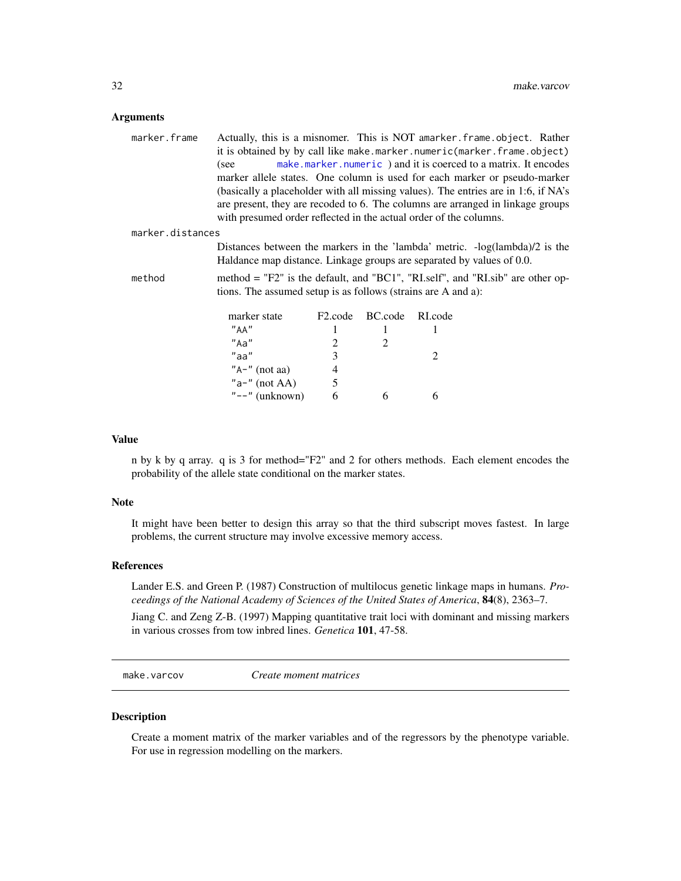#### <span id="page-31-0"></span>**Arguments**

| marker.frame     | Actually, this is a misnomer. This is NOT amarker. frame. object. Rather                                                                                                                                                                  |
|------------------|-------------------------------------------------------------------------------------------------------------------------------------------------------------------------------------------------------------------------------------------|
|                  | it is obtained by by call like make.marker.numeric(marker.frame.object)                                                                                                                                                                   |
|                  | make.marker.numeric) and it is coerced to a matrix. It encodes<br>(see                                                                                                                                                                    |
|                  | marker allele states. One column is used for each marker or pseudo-marker                                                                                                                                                                 |
|                  | (basically a placeholder with all missing values). The entries are in 1:6, if NA's<br>are present, they are recoded to 6. The columns are arranged in linkage groups<br>with presumed order reflected in the actual order of the columns. |
| marker.distances |                                                                                                                                                                                                                                           |
|                  | Distances between the markers in the 'lambda' metric. $-log(lambda)/2$ is the                                                                                                                                                             |
|                  | Haldance map distance. Linkage groups are separated by values of 0.0.                                                                                                                                                                     |
|                  |                                                                                                                                                                                                                                           |

method method = "F2" is the default, and "BC1", "RI.self", and "RI.sib" are other options. The assumed setup is as follows (strains are A and a):

| marker state                 | F <sub>2</sub> .code | BC.code | RLcode |
|------------------------------|----------------------|---------|--------|
| "AA"                         |                      |         |        |
| "Aa"                         | 7                    |         |        |
| "aa"                         | 3                    |         |        |
| " $A$ -" (not aa)            |                      |         |        |
| " $a$ <sup>-"</sup> (not AA) | 5                    |         |        |
| " $--$ " (unknown)           | h                    |         |        |

### Value

n by k by q array. q is 3 for method="F2" and 2 for others methods. Each element encodes the probability of the allele state conditional on the marker states.

#### Note

It might have been better to design this array so that the third subscript moves fastest. In large problems, the current structure may involve excessive memory access.

### References

Lander E.S. and Green P. (1987) Construction of multilocus genetic linkage maps in humans. *Proceedings of the National Academy of Sciences of the United States of America*, 84(8), 2363–7.

Jiang C. and Zeng Z-B. (1997) Mapping quantitative trait loci with dominant and missing markers in various crosses from tow inbred lines. *Genetica* 101, 47-58.

<span id="page-31-1"></span>make.varcov *Create moment matrices*

### Description

Create a moment matrix of the marker variables and of the regressors by the phenotype variable. For use in regression modelling on the markers.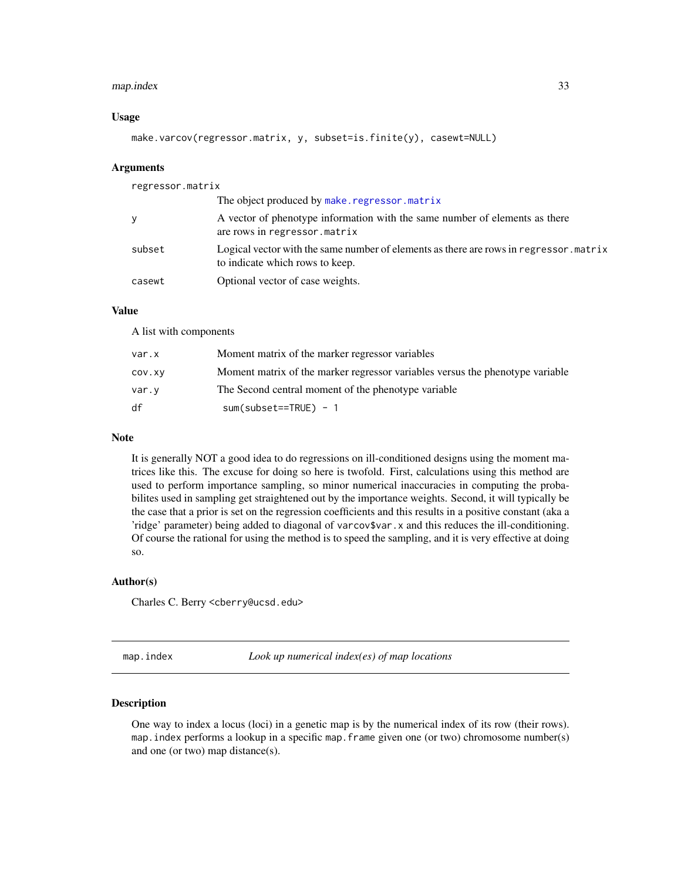### <span id="page-32-0"></span>map.index 33

#### Usage

make.varcov(regressor.matrix, y, subset=is.finite(y), casewt=NULL)

#### Arguments

| regressor.matrix |                                                                                                                          |
|------------------|--------------------------------------------------------------------------------------------------------------------------|
|                  | The object produced by make.regressor.matrix                                                                             |
| y                | A vector of phenotype information with the same number of elements as there<br>are rows in regressor.matrix              |
| subset           | Logical vector with the same number of elements as there are rows in regressor matrix<br>to indicate which rows to keep. |
| casewt           | Optional vector of case weights.                                                                                         |

#### Value

A list with components

| var.x  | Moment matrix of the marker regressor variables                               |
|--------|-------------------------------------------------------------------------------|
| COV.XV | Moment matrix of the marker regressor variables versus the phenotype variable |
| var.v  | The Second central moment of the phenotype variable                           |
| df     | $sum(subset==TRUE) - 1$                                                       |

#### Note

It is generally NOT a good idea to do regressions on ill-conditioned designs using the moment matrices like this. The excuse for doing so here is twofold. First, calculations using this method are used to perform importance sampling, so minor numerical inaccuracies in computing the probabilites used in sampling get straightened out by the importance weights. Second, it will typically be the case that a prior is set on the regression coefficients and this results in a positive constant (aka a 'ridge' parameter) being added to diagonal of varcov\$var.x and this reduces the ill-conditioning. Of course the rational for using the method is to speed the sampling, and it is very effective at doing so.

#### Author(s)

Charles C. Berry <cberry@ucsd.edu>

<span id="page-32-1"></span>map.index *Look up numerical index(es) of map locations*

### **Description**

One way to index a locus (loci) in a genetic map is by the numerical index of its row (their rows). map.index performs a lookup in a specific map.frame given one (or two) chromosome number(s) and one (or two) map distance(s).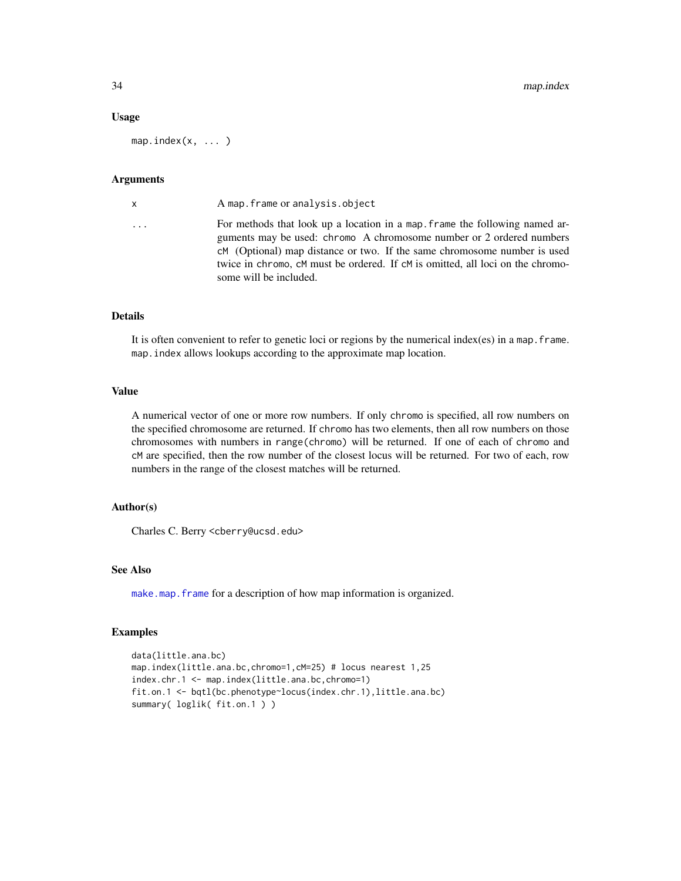#### Usage

 $map.intex(x, ...)$ 

#### Arguments

| x | A map. frame or analysis. object                                                                                                                                                                                                                                                                                                            |
|---|---------------------------------------------------------------------------------------------------------------------------------------------------------------------------------------------------------------------------------------------------------------------------------------------------------------------------------------------|
| . | For methods that look up a location in a map, frame the following named ar-<br>guments may be used: chromo A chromosome number or 2 ordered numbers<br>cM (Optional) map distance or two. If the same chromosome number is used<br>twice in chromo, cM must be ordered. If cM is omitted, all loci on the chromo-<br>some will be included. |
|   |                                                                                                                                                                                                                                                                                                                                             |

### Details

It is often convenient to refer to genetic loci or regions by the numerical index(es) in a map.frame. map.index allows lookups according to the approximate map location.

### Value

A numerical vector of one or more row numbers. If only chromo is specified, all row numbers on the specified chromosome are returned. If chromo has two elements, then all row numbers on those chromosomes with numbers in range(chromo) will be returned. If one of each of chromo and cM are specified, then the row number of the closest locus will be returned. For two of each, row numbers in the range of the closest matches will be returned.

### Author(s)

Charles C. Berry <cberry@ucsd.edu>

#### See Also

[make.map.frame](#page-27-1) for a description of how map information is organized.

### Examples

```
data(little.ana.bc)
map.index(little.ana.bc,chromo=1,cM=25) # locus nearest 1,25
index.chr.1 <- map.index(little.ana.bc,chromo=1)
fit.on.1 <- bqtl(bc.phenotype~locus(index.chr.1),little.ana.bc)
summary( loglik( fit.on.1 ) )
```
<span id="page-33-0"></span>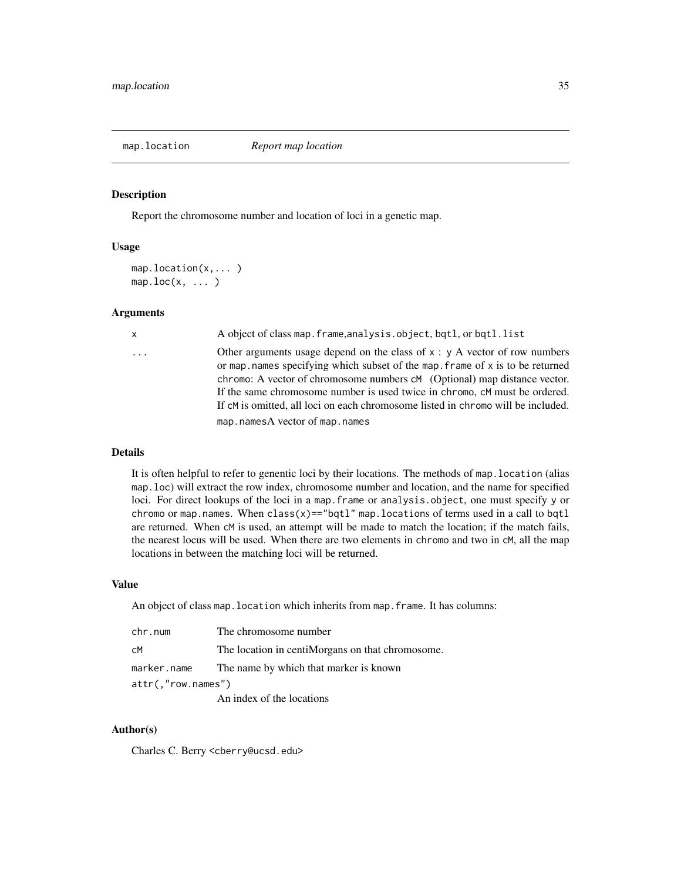<span id="page-34-1"></span><span id="page-34-0"></span>

#### **Description**

Report the chromosome number and location of loci in a genetic map.

#### Usage

```
map.location(x,... )
map.loc(x, \ldots)
```
#### Arguments

| х |          |  |  |  |
|---|----------|--|--|--|
|   | $\cdots$ |  |  |  |
|   |          |  |  |  |
|   |          |  |  |  |
|   |          |  |  |  |

x A object of class map.frame,analysis.object, bqtl, or bqtl.list

Other arguments usage depend on the class of  $x : y A$  vector of row numbers or map.names specifying which subset of the map. frame of  $x$  is to be returned chromo: A vector of chromosome numbers cM (Optional) map distance vector. If the same chromosome number is used twice in chromo, cM must be ordered. If cM is omitted, all loci on each chromosome listed in chromo will be included. map.namesA vector of map.names

#### Details

It is often helpful to refer to genentic loci by their locations. The methods of map.location (alias map.loc) will extract the row index, chromosome number and location, and the name for specified loci. For direct lookups of the loci in a map.frame or analysis.object, one must specify y or chromo or map.names. When  $class(x) == "bqtl"$  map.locations of terms used in a call to bqtl are returned. When cM is used, an attempt will be made to match the location; if the match fails, the nearest locus will be used. When there are two elements in chromo and two in cM, all the map locations in between the matching loci will be returned.

#### Value

An object of class map. location which inherits from map. frame. It has columns:

| chr.num                  | The chromosome number                            |  |
|--------------------------|--------------------------------------------------|--|
| сM                       | The location in centiMorgans on that chromosome. |  |
| marker.name              | The name by which that marker is known           |  |
| $attr($ ,"row.names" $)$ |                                                  |  |
|                          | An index of the locations                        |  |

#### Author(s)

Charles C. Berry <cberry@ucsd.edu>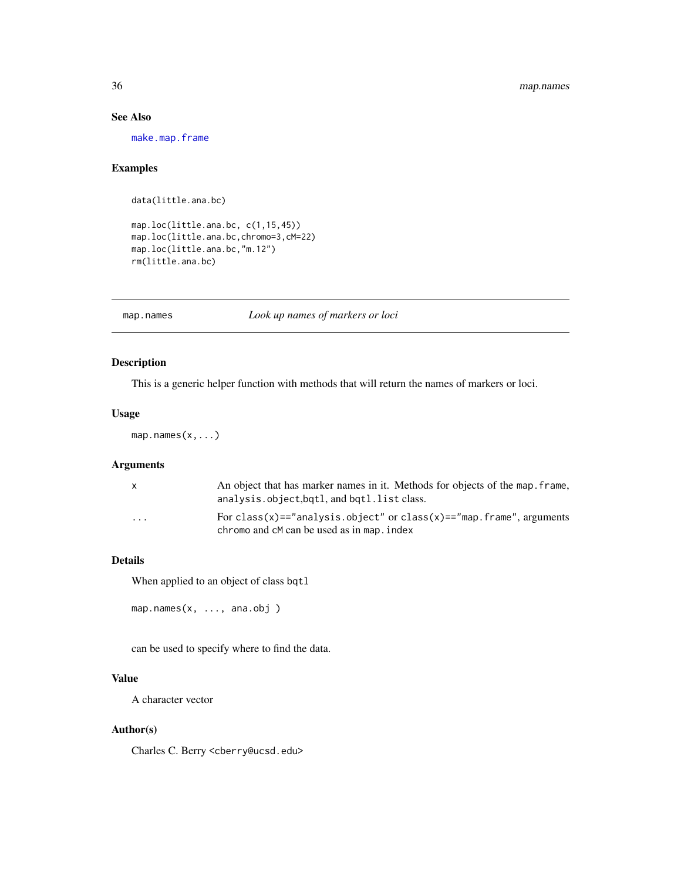### See Also

[make.map.frame](#page-27-1)

### Examples

data(little.ana.bc)

map.loc(little.ana.bc, c(1,15,45)) map.loc(little.ana.bc,chromo=3,cM=22) map.loc(little.ana.bc,"m.12") rm(little.ana.bc)

map.names *Look up names of markers or loci*

### Description

This is a generic helper function with methods that will return the names of markers or loci.

#### Usage

map.names(x,...)

### Arguments

|                         | An object that has marker names in it. Methods for objects of the map. frame,<br>analysis.object.bqtl, and bqtl.list class. |
|-------------------------|-----------------------------------------------------------------------------------------------------------------------------|
| $\cdot$ $\cdot$ $\cdot$ | For class(x)=="analysis.object" or class(x)=="map.frame", arguments<br>chromo and cM can be used as in map. index           |

### Details

When applied to an object of class bqtl

```
map.names(x, ..., ana.obj )
```
can be used to specify where to find the data.

### Value

A character vector

### Author(s)

Charles C. Berry <cberry@ucsd.edu>

<span id="page-35-0"></span>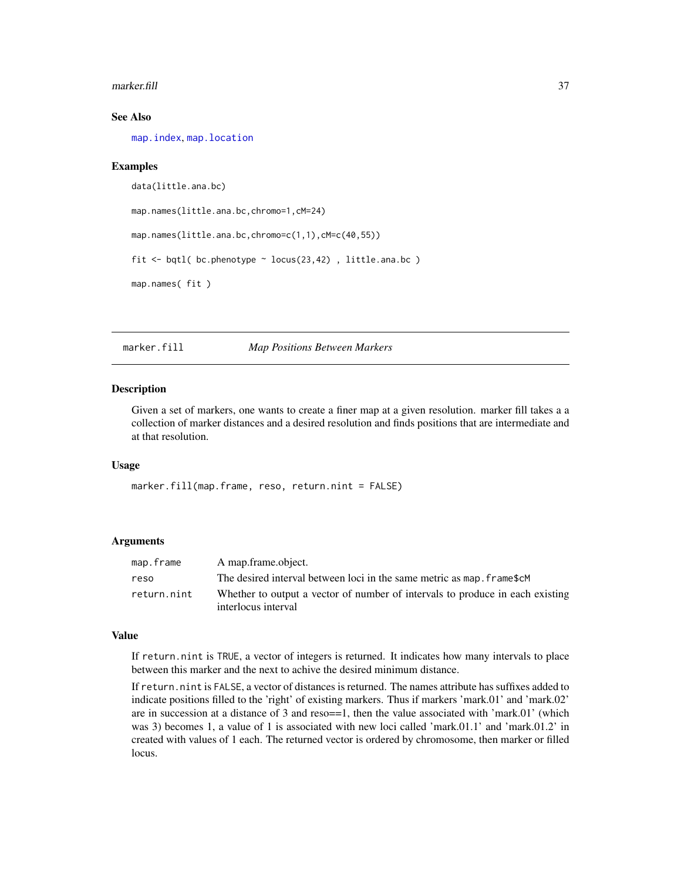#### <span id="page-36-0"></span>marker.fill 37

### See Also

[map.index](#page-32-1), [map.location](#page-34-1)

#### Examples

```
data(little.ana.bc)
map.names(little.ana.bc,chromo=1,cM=24)
map.names(little.ana.bc,chromo=c(1,1),cM=c(40,55))
fit <- bqtl( bc.phenotype ~ locus(23,42) , little.ana.bc )
map.names( fit )
```
marker.fill *Map Positions Between Markers*

#### Description

Given a set of markers, one wants to create a finer map at a given resolution. marker fill takes a a collection of marker distances and a desired resolution and finds positions that are intermediate and at that resolution.

### Usage

```
marker.fill(map.frame, reso, return.nint = FALSE)
```
### Arguments

| map.frame   | A map.frame.object.                                                           |
|-------------|-------------------------------------------------------------------------------|
| reso        | The desired interval between loci in the same metric as map, frame\$cM        |
| return.nint | Whether to output a vector of number of intervals to produce in each existing |
|             | interlocus interval                                                           |

#### Value

If return.nint is TRUE, a vector of integers is returned. It indicates how many intervals to place between this marker and the next to achive the desired minimum distance.

If return.nint is FALSE, a vector of distances is returned. The names attribute has suffixes added to indicate positions filled to the 'right' of existing markers. Thus if markers 'mark.01' and 'mark.02' are in succession at a distance of 3 and reso==1, then the value associated with 'mark.01' (which was 3) becomes 1, a value of 1 is associated with new loci called 'mark.01.1' and 'mark.01.2' in created with values of 1 each. The returned vector is ordered by chromosome, then marker or filled locus.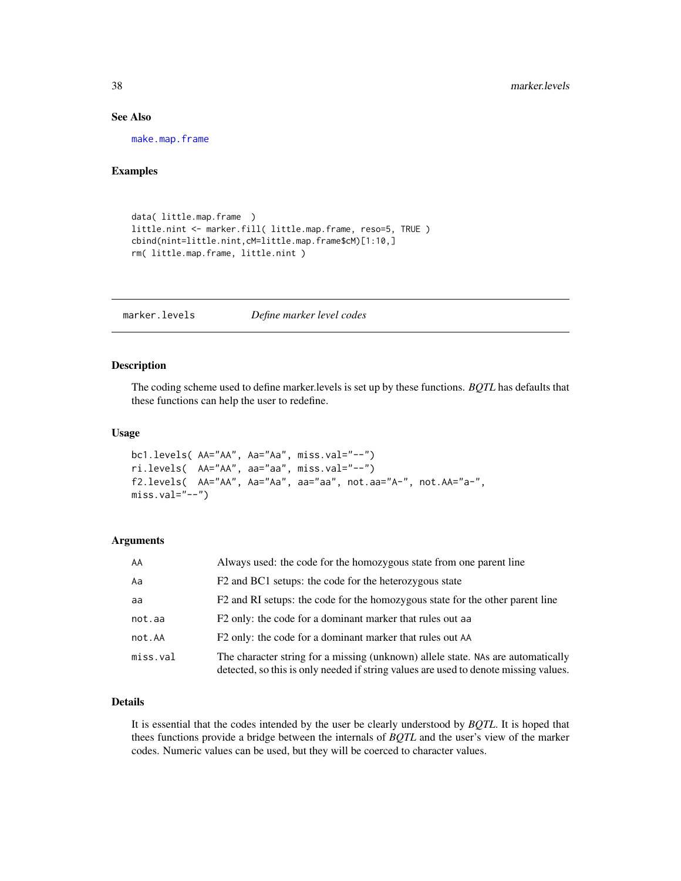#### See Also

[make.map.frame](#page-27-1)

### Examples

```
data( little.map.frame )
little.nint <- marker.fill( little.map.frame, reso=5, TRUE )
cbind(nint=little.nint,cM=little.map.frame$cM)[1:10,]
rm( little.map.frame, little.nint )
```
<span id="page-37-1"></span>marker.levels *Define marker level codes*

#### Description

The coding scheme used to define marker.levels is set up by these functions. *BQTL* has defaults that these functions can help the user to redefine.

#### Usage

```
bc1.levels( AA="AA", Aa="Aa", miss.val="--")
ri.levels( AA="AA", aa="aa", miss.val="--")
f2.levels( AA="AA", Aa="Aa", aa="aa", not.aa="A-", not.AA="a-",
miss.val="--")
```
#### Arguments

| AA       | Always used: the code for the homozygous state from one parent line                                                                                                      |
|----------|--------------------------------------------------------------------------------------------------------------------------------------------------------------------------|
| Aa       | F2 and BC1 setups: the code for the heterozygous state                                                                                                                   |
| aa       | F2 and RI setups: the code for the homozygous state for the other parent line                                                                                            |
| not.aa   | F2 only: the code for a dominant marker that rules out a both                                                                                                            |
| not.AA   | F2 only: the code for a dominant marker that rules out AA                                                                                                                |
| miss.val | The character string for a missing (unknown) allele state. NAs are automatically<br>detected, so this is only needed if string values are used to denote missing values. |

#### Details

It is essential that the codes intended by the user be clearly understood by *BQTL*. It is hoped that thees functions provide a bridge between the internals of *BQTL* and the user's view of the marker codes. Numeric values can be used, but they will be coerced to character values.

<span id="page-37-0"></span>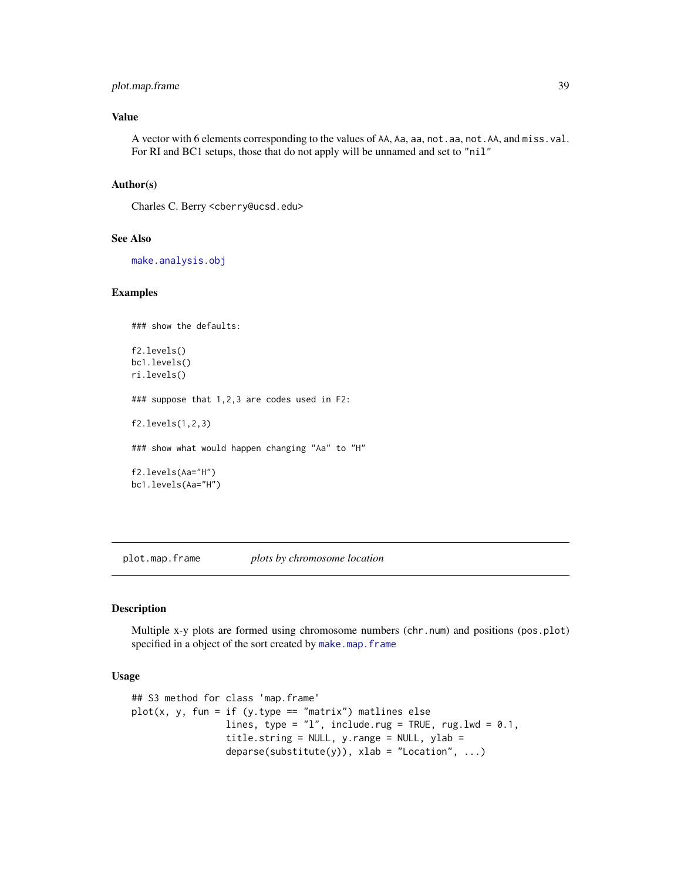### <span id="page-38-0"></span>plot.map.frame 39

### Value

A vector with 6 elements corresponding to the values of AA, Aa, aa, not.aa, not.AA, and miss.val. For RI and BC1 setups, those that do not apply will be unnamed and set to "nil"

#### Author(s)

Charles C. Berry <cberry@ucsd.edu>

### See Also

[make.analysis.obj](#page-23-1)

#### Examples

```
### show the defaults:
f2.levels()
bc1.levels()
ri.levels()
### suppose that 1,2,3 are codes used in F2:
f2.levels(1,2,3)
### show what would happen changing "Aa" to "H"
f2.levels(Aa="H")
bc1.levels(Aa="H")
```
plot.map.frame *plots by chromosome location*

#### Description

Multiple x-y plots are formed using chromosome numbers (chr.num) and positions (pos.plot) specified in a object of the sort created by [make.map.frame](#page-27-1)

### Usage

```
## S3 method for class 'map.frame'
plot(x, y, fun = if (y.type == "matrix") matlines else
                 lines, type = "1", include.rug = TRUE, rug.lwd = 0.1,
                 title.string = NULL, y.range = NULL, ylab =
                 deparse(substitute(y)), xlab = "Location", ...)
```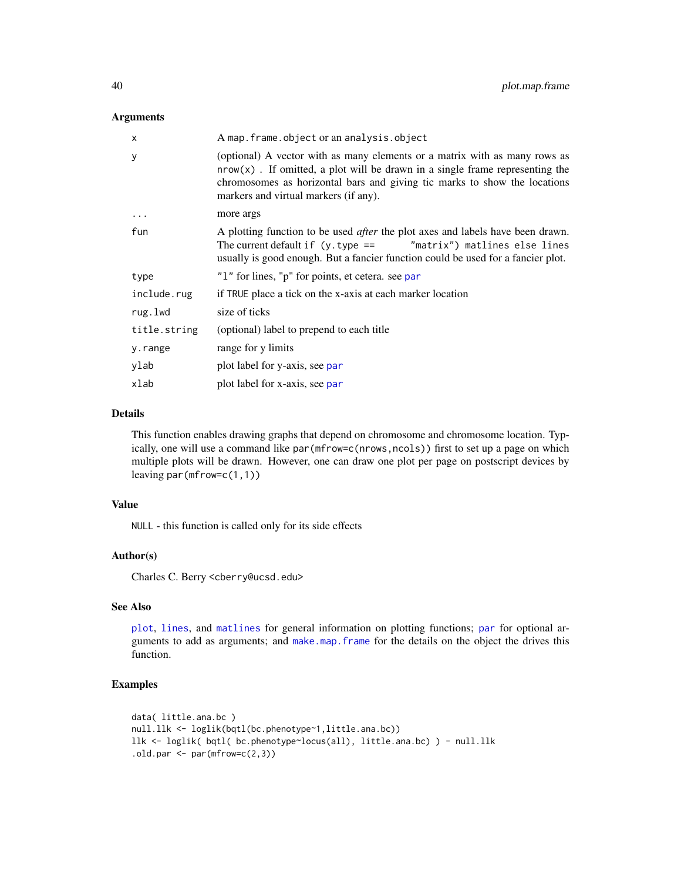#### <span id="page-39-0"></span>Arguments

| x            | A map. frame.object or an analysis.object                                                                                                                                                                                                                                           |
|--------------|-------------------------------------------------------------------------------------------------------------------------------------------------------------------------------------------------------------------------------------------------------------------------------------|
| y            | (optional) A vector with as many elements or a matrix with as many rows as<br>$nrow(x)$ . If omitted, a plot will be drawn in a single frame representing the<br>chromosomes as horizontal bars and giving tic marks to show the locations<br>markers and virtual markers (if any). |
| $\ddots$     | more args                                                                                                                                                                                                                                                                           |
| fun          | A plotting function to be used <i>after</i> the plot axes and labels have been drawn.<br>The current default if $(y.\text{type} ==$ "matrix") matlines else lines<br>usually is good enough. But a fancier function could be used for a fancier plot.                               |
| type         | "1" for lines, "p" for points, et cetera, see par                                                                                                                                                                                                                                   |
| include.rug  | if TRUE place a tick on the x-axis at each marker location                                                                                                                                                                                                                          |
| rug.lwd      | size of ticks                                                                                                                                                                                                                                                                       |
| title.string | (optional) label to prepend to each title                                                                                                                                                                                                                                           |
| y.range      | range for y limits                                                                                                                                                                                                                                                                  |
| ylab         | plot label for y-axis, see par                                                                                                                                                                                                                                                      |
| xlab         | plot label for x-axis, see par                                                                                                                                                                                                                                                      |

#### Details

This function enables drawing graphs that depend on chromosome and chromosome location. Typically, one will use a command like par(mfrow=c(nrows,ncols)) first to set up a page on which multiple plots will be drawn. However, one can draw one plot per page on postscript devices by leaving par(mfrow=c(1,1))

### Value

NULL - this function is called only for its side effects

### Author(s)

Charles C. Berry <cberry@ucsd.edu>

### See Also

[plot](#page-0-0), [lines](#page-0-0), and [matlines](#page-0-0) for general information on plotting functions; [par](#page-0-0) for optional arguments to add as arguments; and [make.map.frame](#page-27-1) for the details on the object the drives this function.

### Examples

```
data( little.ana.bc )
null.llk <- loglik(bqtl(bc.phenotype~1,little.ana.bc))
llk <- loglik( bqtl( bc.phenotype~locus(all), little.ana.bc) ) - null.llk
.old.par <- par(mfrow=c(2,3))
```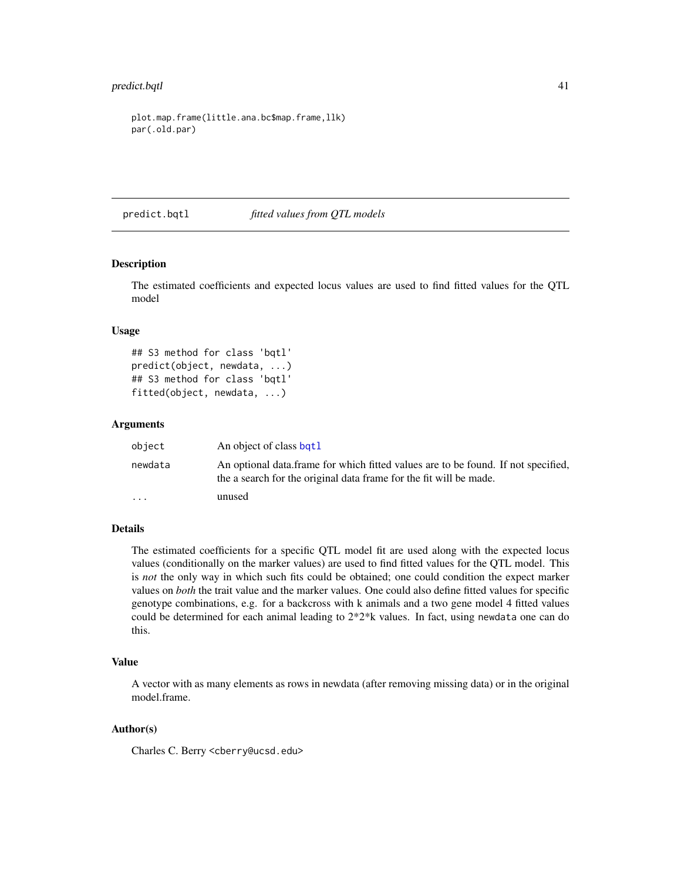### <span id="page-40-0"></span>predict.bqtl 41

plot.map.frame(little.ana.bc\$map.frame,llk) par(.old.par)

predict.bqtl *fitted values from QTL models*

### Description

The estimated coefficients and expected locus values are used to find fitted values for the QTL model

#### Usage

```
## S3 method for class 'bqtl'
predict(object, newdata, ...)
## S3 method for class 'bqtl'
fitted(object, newdata, ...)
```
#### Arguments

| object                  | An object of class bqt1                                                                                                                                 |
|-------------------------|---------------------------------------------------------------------------------------------------------------------------------------------------------|
| newdata                 | An optional data frame for which fitted values are to be found. If not specified,<br>the a search for the original data frame for the fit will be made. |
| $\cdot$ $\cdot$ $\cdot$ | unused                                                                                                                                                  |

#### Details

The estimated coefficients for a specific QTL model fit are used along with the expected locus values (conditionally on the marker values) are used to find fitted values for the QTL model. This is *not* the only way in which such fits could be obtained; one could condition the expect marker values on *both* the trait value and the marker values. One could also define fitted values for specific genotype combinations, e.g. for a backcross with k animals and a two gene model 4 fitted values could be determined for each animal leading to 2\*2\*k values. In fact, using newdata one can do this.

### Value

A vector with as many elements as rows in newdata (after removing missing data) or in the original model.frame.

### Author(s)

Charles C. Berry <cberry@ucsd.edu>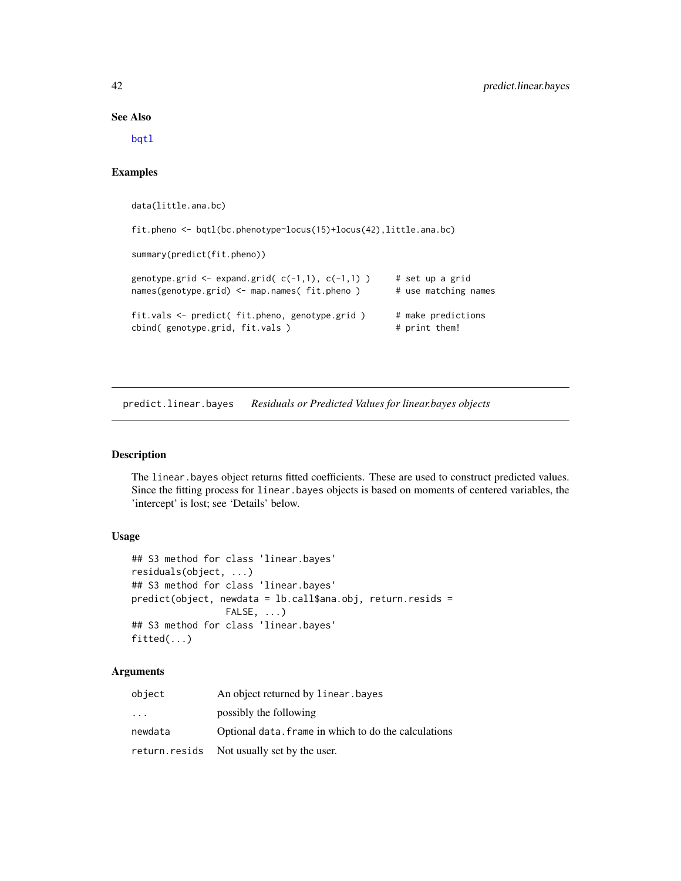#### See Also

[bqtl](#page-3-1)

### Examples

data(little.ana.bc)

fit.pheno <- bqtl(bc.phenotype~locus(15)+locus(42),little.ana.bc)

summary(predict(fit.pheno))

```
genotype.grid \leq expand.grid(c(-1,1), c(-1,1)) # set up a grid
names(genotype.grid) <- map.names( fit.pheno ) # use matching names
fit.vals <- predict( fit.pheno, genotype.grid ) # make predictions cbind( genotype.grid, fit.vals ) # print them!
cbind( genotype.grid, fit.vals )
```
predict.linear.bayes *Residuals or Predicted Values for linear.bayes objects*

#### Description

The linear.bayes object returns fitted coefficients. These are used to construct predicted values. Since the fitting process for linear.bayes objects is based on moments of centered variables, the 'intercept' is lost; see 'Details' below.

### Usage

```
## S3 method for class 'linear.bayes'
residuals(object, ...)
## S3 method for class 'linear.bayes'
predict(object, newdata = lb.call$ana.obj, return.resids =
                 FALSE, ...)
## S3 method for class 'linear.bayes'
fitted(...)
```
#### Arguments

| object                  | An object returned by linear, bayes                  |
|-------------------------|------------------------------------------------------|
| $\cdot$ $\cdot$ $\cdot$ | possibly the following                               |
| newdata                 | Optional data, frame in which to do the calculations |
|                         | return.resids Not usually set by the user.           |

<span id="page-41-0"></span>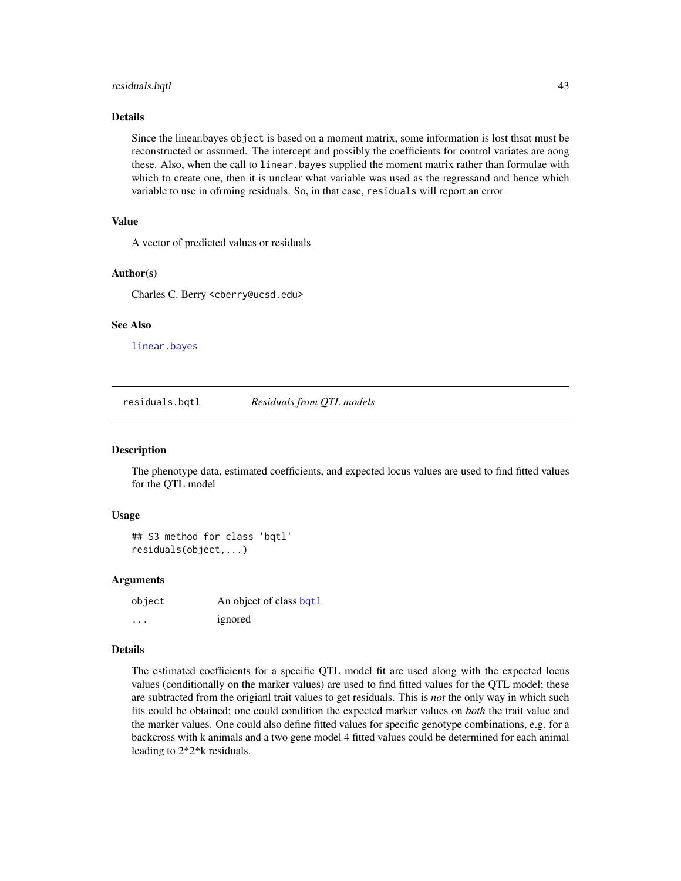#### <span id="page-42-0"></span>residuals.bqtl 43

#### Details

Since the linear.bayes object is based on a moment matrix, some information is lost thsat must be reconstructed or assumed. The intercept and possibly the coefficients for control variates are aong these. Also, when the call to linear.bayes supplied the moment matrix rather than formulae with which to create one, then it is unclear what variable was used as the regressand and hence which variable to use in ofrming residuals. So, in that case, residuals will report an error

### Value

A vector of predicted values or residuals

#### Author(s)

Charles C. Berry <cberry@ucsd.edu>

#### See Also

[linear.bayes](#page-12-1)

residuals.bqtl *Residuals from QTL models*

#### Description

The phenotype data, estimated coefficients, and expected locus values are used to find fitted values for the QTL model

#### Usage

## S3 method for class 'bqtl' residuals(object,...)

#### Arguments

| object   | An object of class bqt1 |
|----------|-------------------------|
| $\cdots$ | ignored                 |

#### Details

The estimated coefficients for a specific QTL model fit are used along with the expected locus values (conditionally on the marker values) are used to find fitted values for the QTL model; these are subtracted from the origianl trait values to get residuals. This is *not* the only way in which such fits could be obtained; one could condition the expected marker values on *both* the trait value and the marker values. One could also define fitted values for specific genotype combinations, e.g. for a backcross with k animals and a two gene model 4 fitted values could be determined for each animal leading to 2\*2\*k residuals.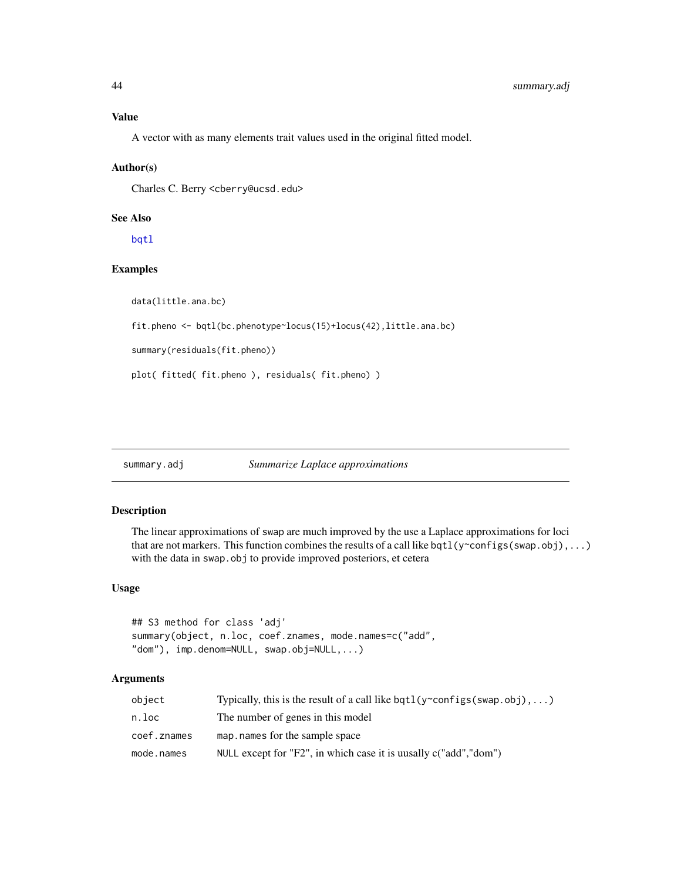### <span id="page-43-0"></span>Value

A vector with as many elements trait values used in the original fitted model.

### Author(s)

Charles C. Berry <cberry@ucsd.edu>

### See Also

[bqtl](#page-3-1)

### Examples

data(little.ana.bc)

fit.pheno <- bqtl(bc.phenotype~locus(15)+locus(42),little.ana.bc)

summary(residuals(fit.pheno))

plot( fitted( fit.pheno ), residuals( fit.pheno) )

summary.adj *Summarize Laplace approximations*

#### Description

The linear approximations of swap are much improved by the use a Laplace approximations for loci that are not markers. This function combines the results of a call like bqtl( $y$ ~configs(swap.obj),...) with the data in swap.obj to provide improved posteriors, et cetera

### Usage

```
## S3 method for class 'adj'
summary(object, n.loc, coef.znames, mode.names=c("add",
"dom"), imp.denom=NULL, swap.obj=NULL,...)
```
### Arguments

| object      | Typically, this is the result of a call like bqt1(y~configs(swap.obj),) |
|-------------|-------------------------------------------------------------------------|
| n.loc       | The number of genes in this model                                       |
| coef.znames | map, names for the sample space                                         |
| mode.names  | NULL except for "F2", in which case it is uusally c("add", "dom")       |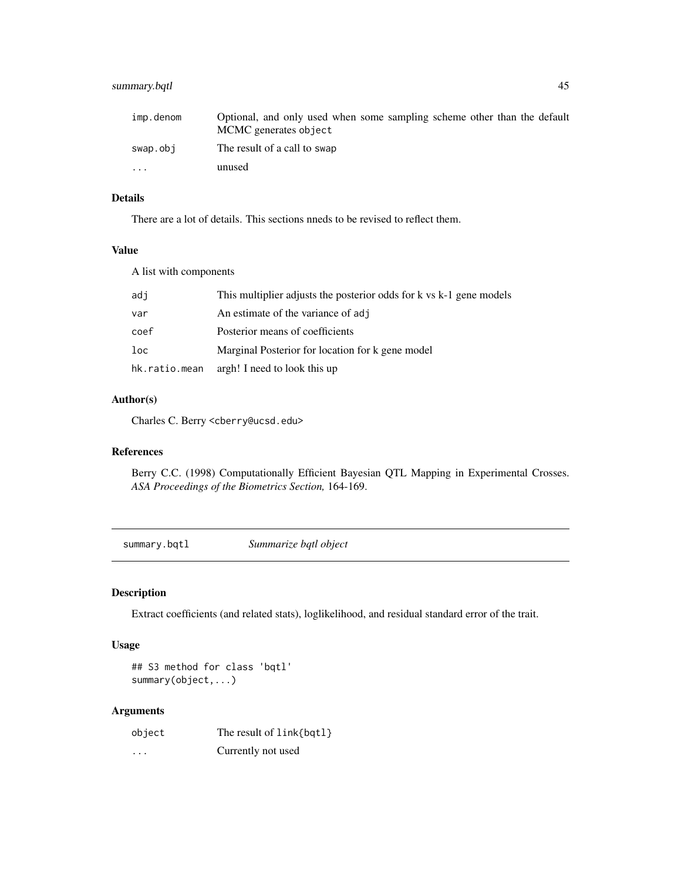### <span id="page-44-0"></span>summary.bqtl 45

| imp.denom               | Optional, and only used when some sampling scheme other than the default<br>MCMC generates object |
|-------------------------|---------------------------------------------------------------------------------------------------|
| swap.obj                | The result of a call to swap                                                                      |
| $\cdot$ $\cdot$ $\cdot$ | unused                                                                                            |

### Details

There are a lot of details. This sections nneds to be revised to reflect them.

#### Value

A list with components

| adi           | This multiplier adjusts the posterior odds for k vs k-1 gene models |
|---------------|---------------------------------------------------------------------|
| var           | An estimate of the variance of adj                                  |
| coef          | Posterior means of coefficients                                     |
| loc           | Marginal Posterior for location for k gene model                    |
| hk.ratio.mean | argh! I need to look this up                                        |

### Author(s)

Charles C. Berry <cberry@ucsd.edu>

#### References

Berry C.C. (1998) Computationally Efficient Bayesian QTL Mapping in Experimental Crosses. *ASA Proceedings of the Biometrics Section,* 164-169.

summary.bqtl *Summarize bqtl object*

### Description

Extract coefficients (and related stats), loglikelihood, and residual standard error of the trait.

### Usage

```
## S3 method for class 'bqtl'
summary(object,...)
```
### Arguments

| object   | The result of link{bqtl} |
|----------|--------------------------|
| $\cdots$ | Currently not used       |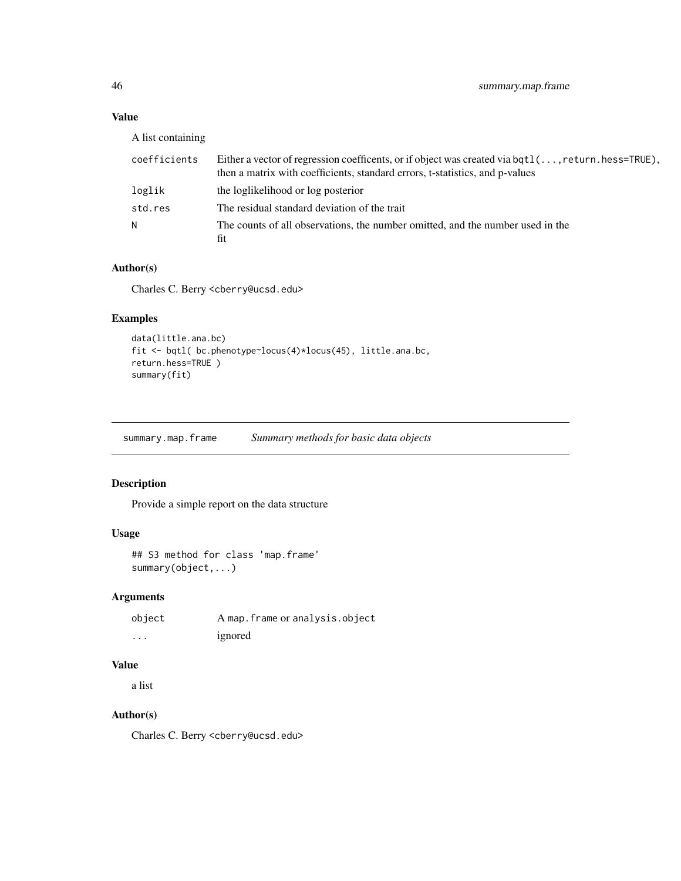### <span id="page-45-0"></span>Value

A list containing

| coefficients | Either a vector of regression coefficents, or if object was created via bqt1(, return.hess=TRUE), |
|--------------|---------------------------------------------------------------------------------------------------|
|              | then a matrix with coefficients, standard errors, t-statistics, and p-values                      |
| loglik       | the loglikelihood or log posterior                                                                |
| std.res      | The residual standard deviation of the trait                                                      |
| N.           | The counts of all observations, the number omitted, and the number used in the                    |
|              | fit                                                                                               |

### Author(s)

Charles C. Berry <cberry@ucsd.edu>

### Examples

```
data(little.ana.bc)
fit <- bqtl( bc.phenotype~locus(4)*locus(45), little.ana.bc,
return.hess=TRUE )
summary(fit)
```
summary.map.frame *Summary methods for basic data objects*

### Description

Provide a simple report on the data structure

### Usage

```
## S3 method for class 'map.frame'
summary(object,...)
```
### Arguments

| object | A map. frame or analysis.object |
|--------|---------------------------------|
| .      | ignored                         |

### Value

a list

### Author(s)

Charles C. Berry <cberry@ucsd.edu>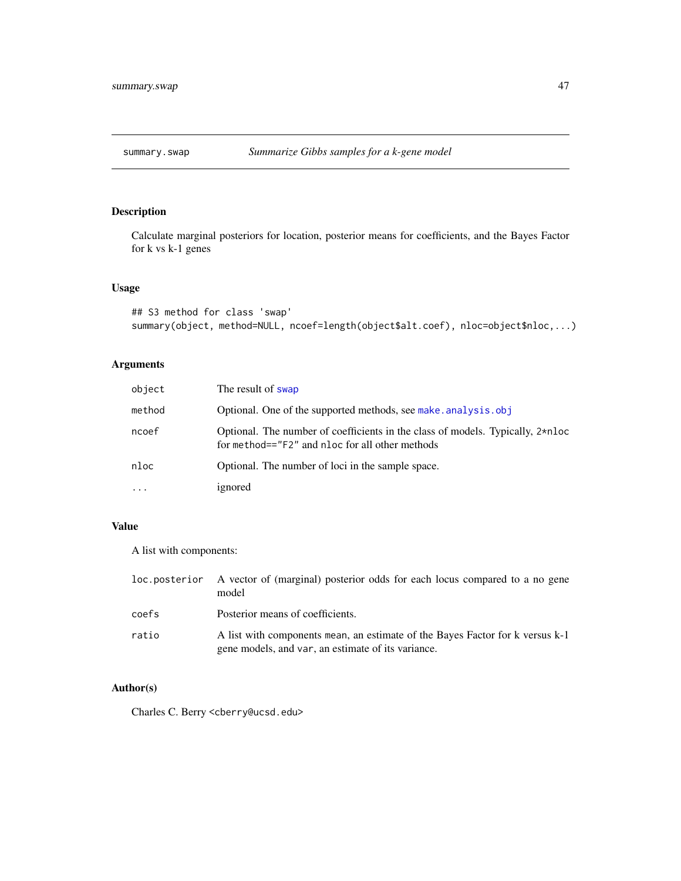<span id="page-46-1"></span><span id="page-46-0"></span>

### Description

Calculate marginal posteriors for location, posterior means for coefficients, and the Bayes Factor for k vs k-1 genes

### Usage

```
## S3 method for class 'swap'
summary(object, method=NULL, ncoef=length(object$alt.coef), nloc=object$nloc,...)
```
### Arguments

| object   | The result of swap                                                                                                                |
|----------|-----------------------------------------------------------------------------------------------------------------------------------|
| method   | Optional. One of the supported methods, see make, analysis, obj                                                                   |
| ncoef    | Optional. The number of coefficients in the class of models. Typically, 2*nloc<br>for method=="F2" and nloc for all other methods |
| nloc     | Optional. The number of loci in the sample space.                                                                                 |
| $\cdots$ | ignored                                                                                                                           |

### Value

A list with components:

| loc.posterior | A vector of (marginal) posterior odds for each locus compared to a no gene<br>model                                                 |
|---------------|-------------------------------------------------------------------------------------------------------------------------------------|
| coefs         | Posterior means of coefficients.                                                                                                    |
| ratio         | A list with components mean, an estimate of the Bayes Factor for k versus k-1<br>gene models, and var, an estimate of its variance. |

### Author(s)

Charles C. Berry <cberry@ucsd.edu>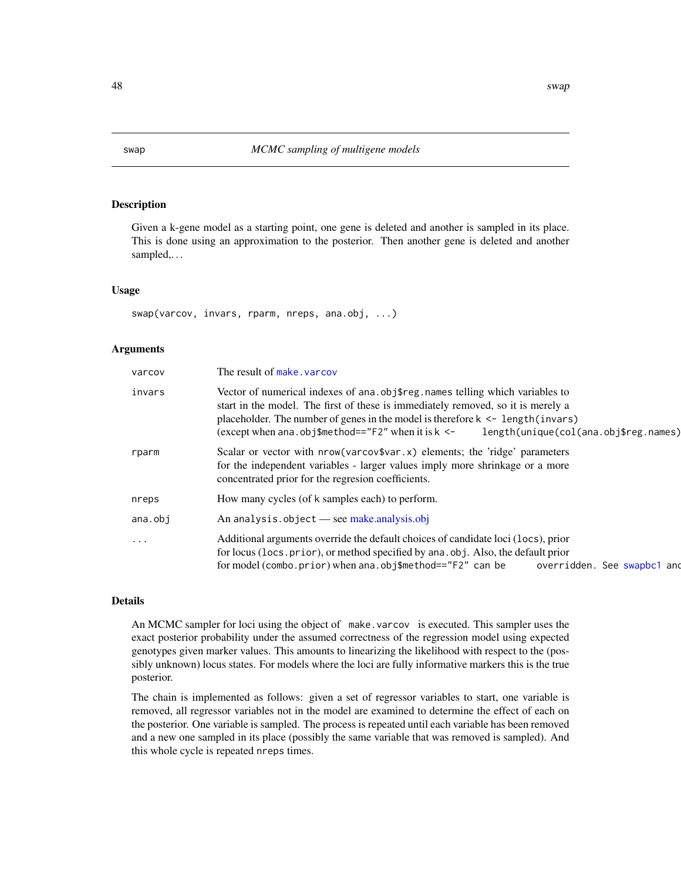#### Description

Given a k-gene model as a starting point, one gene is deleted and another is sampled in its place. This is done using an approximation to the posterior. Then another gene is deleted and another sampled,. . .

#### Usage

swap(varcov, invars, rparm, nreps, ana.obj, ...)

### Arguments

| varcov   | The result of make, varcov                                                                                                                                                                                                                                                                                                                                          |
|----------|---------------------------------------------------------------------------------------------------------------------------------------------------------------------------------------------------------------------------------------------------------------------------------------------------------------------------------------------------------------------|
| invars   | Vector of numerical indexes of ana. obj\$reg. names telling which variables to<br>start in the model. The first of these is immediately removed, so it is merely a<br>placeholder. The number of genes in the model is therefore $k \leq -\log t$ (invars)<br>(except when ana.obj\$method==" $F2$ " when it is $k \le -1$<br>length(unique(col(ana.obj\$reg.names) |
| rparm    | Scalar or vector with $nrow(varcov$var.x)$ elements; the 'ridge' parameters<br>for the independent variables - larger values imply more shrinkage or a more<br>concentrated prior for the regresion coefficients.                                                                                                                                                   |
| nreps    | How many cycles (of k samples each) to perform.                                                                                                                                                                                                                                                                                                                     |
| ana.obi  | An analysis.object — see make.analysis.obj                                                                                                                                                                                                                                                                                                                          |
| $\ddots$ | Additional arguments override the default choices of candidate loci (locs), prior<br>for locus (locs. prior), or method specified by ana. obj. Also, the default prior<br>for model (combo.prior) when ana.obj\$method== $"F2"$ can be<br>overridden. See swapbc1 and                                                                                               |

#### Details

An MCMC sampler for loci using the object of make.varcov is executed. This sampler uses the exact posterior probability under the assumed correctness of the regression model using expected genotypes given marker values. This amounts to linearizing the likelihood with respect to the (possibly unknown) locus states. For models where the loci are fully informative markers this is the true posterior.

The chain is implemented as follows: given a set of regressor variables to start, one variable is removed, all regressor variables not in the model are examined to determine the effect of each on the posterior. One variable is sampled. The process is repeated until each variable has been removed and a new one sampled in its place (possibly the same variable that was removed is sampled). And this whole cycle is repeated nreps times.

<span id="page-47-1"></span><span id="page-47-0"></span>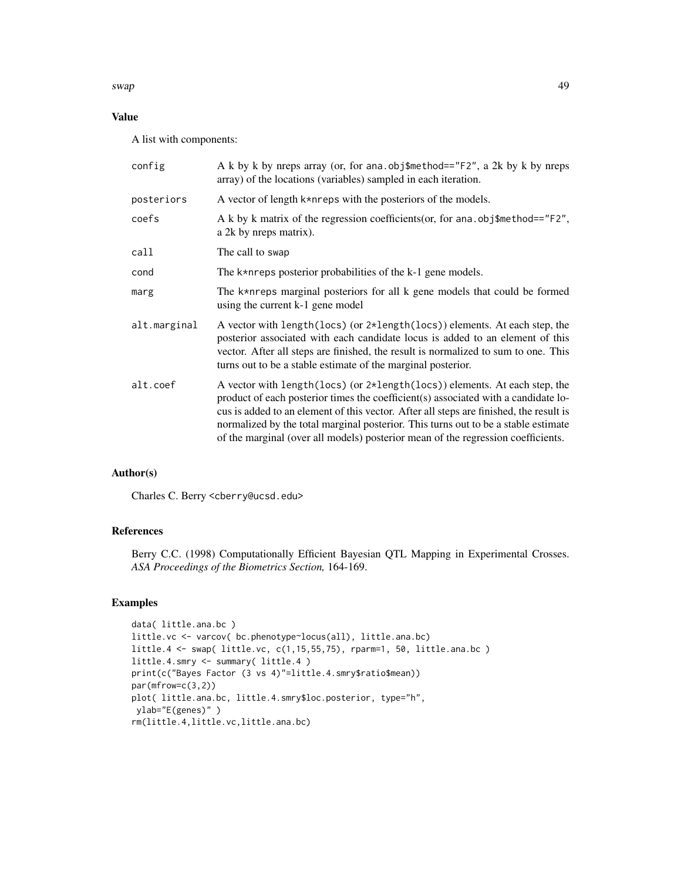swap 49

### Value

A list with components:

| config       | A k by k by nreps array (or, for ana.obj\$method=="F2", a 2k by k by nreps<br>array) of the locations (variables) sampled in each iteration.                                                                                                                                                                                                                                                                                                   |
|--------------|------------------------------------------------------------------------------------------------------------------------------------------------------------------------------------------------------------------------------------------------------------------------------------------------------------------------------------------------------------------------------------------------------------------------------------------------|
| posteriors   | A vector of length k*nreps with the posteriors of the models.                                                                                                                                                                                                                                                                                                                                                                                  |
| coefs        | A k by k matrix of the regression coefficients (or, for ana. obj\testa bod== $"F2",$<br>a 2k by nreps matrix).                                                                                                                                                                                                                                                                                                                                 |
| call         | The call to swap                                                                                                                                                                                                                                                                                                                                                                                                                               |
| cond         | The k*nreps posterior probabilities of the k-1 gene models.                                                                                                                                                                                                                                                                                                                                                                                    |
| marg         | The k*nreps marginal posteriors for all k gene models that could be formed<br>using the current k-1 gene model                                                                                                                                                                                                                                                                                                                                 |
| alt.marginal | A vector with length(locs) (or 2*length(locs)) elements. At each step, the<br>posterior associated with each candidate locus is added to an element of this<br>vector. After all steps are finished, the result is normalized to sum to one. This<br>turns out to be a stable estimate of the marginal posterior.                                                                                                                              |
| alt.coef     | A vector with length (locs) (or $2 \star$ length (locs)) elements. At each step, the<br>product of each posterior times the coefficient(s) associated with a candidate lo-<br>cus is added to an element of this vector. After all steps are finished, the result is<br>normalized by the total marginal posterior. This turns out to be a stable estimate<br>of the marginal (over all models) posterior mean of the regression coefficients. |

### Author(s)

Charles C. Berry <cberry@ucsd.edu>

### References

Berry C.C. (1998) Computationally Efficient Bayesian QTL Mapping in Experimental Crosses. *ASA Proceedings of the Biometrics Section,* 164-169.

### Examples

```
data( little.ana.bc )
little.vc <- varcov( bc.phenotype~locus(all), little.ana.bc)
little.4 <- swap( little.vc, c(1,15,55,75), rparm=1, 50, little.ana.bc )
little.4.smry <- summary( little.4 )
print(c("Bayes Factor (3 vs 4)"=little.4.smry$ratio$mean))
par(mfrow=c(3,2))
plot( little.ana.bc, little.4.smry$loc.posterior, type="h",
ylab="E(genes)" )
rm(little.4,little.vc,little.ana.bc)
```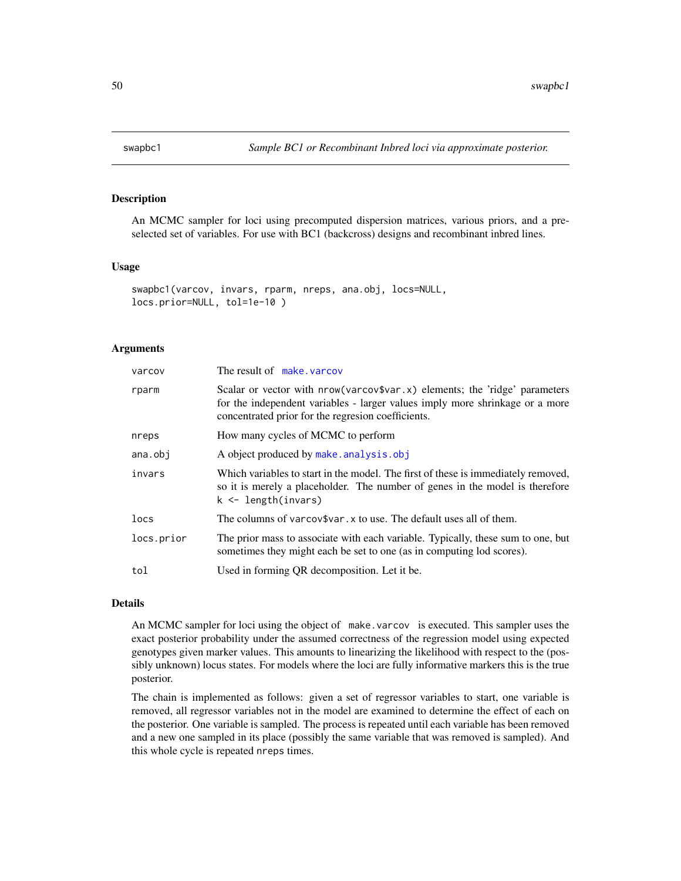<span id="page-49-1"></span><span id="page-49-0"></span>

#### Description

An MCMC sampler for loci using precomputed dispersion matrices, various priors, and a preselected set of variables. For use with BC1 (backcross) designs and recombinant inbred lines.

#### Usage

```
swapbc1(varcov, invars, rparm, nreps, ana.obj, locs=NULL,
locs.prior=NULL, tol=1e-10 )
```
#### Arguments

| varcov     | The result of make, varcov                                                                                                                                                                                        |
|------------|-------------------------------------------------------------------------------------------------------------------------------------------------------------------------------------------------------------------|
| rparm      | Scalar or vector with $nrow(varcov$var.x)$ elements; the 'ridge' parameters<br>for the independent variables - larger values imply more shrinkage or a more<br>concentrated prior for the regresion coefficients. |
| nreps      | How many cycles of MCMC to perform                                                                                                                                                                                |
| ana.obj    | A object produced by make.analysis.obj                                                                                                                                                                            |
| invars     | Which variables to start in the model. The first of these is immediately removed,<br>so it is merely a placeholder. The number of genes in the model is therefore<br>$k \leq$ length(invars)                      |
| locs       | The columns of varcov\$var. x to use. The default uses all of them.                                                                                                                                               |
| locs.prior | The prior mass to associate with each variable. Typically, these sum to one, but<br>sometimes they might each be set to one (as in computing lod scores).                                                         |
| tol        | Used in forming QR decomposition. Let it be.                                                                                                                                                                      |

#### Details

An MCMC sampler for loci using the object of make.varcov is executed. This sampler uses the exact posterior probability under the assumed correctness of the regression model using expected genotypes given marker values. This amounts to linearizing the likelihood with respect to the (possibly unknown) locus states. For models where the loci are fully informative markers this is the true posterior.

The chain is implemented as follows: given a set of regressor variables to start, one variable is removed, all regressor variables not in the model are examined to determine the effect of each on the posterior. One variable is sampled. The process is repeated until each variable has been removed and a new one sampled in its place (possibly the same variable that was removed is sampled). And this whole cycle is repeated nreps times.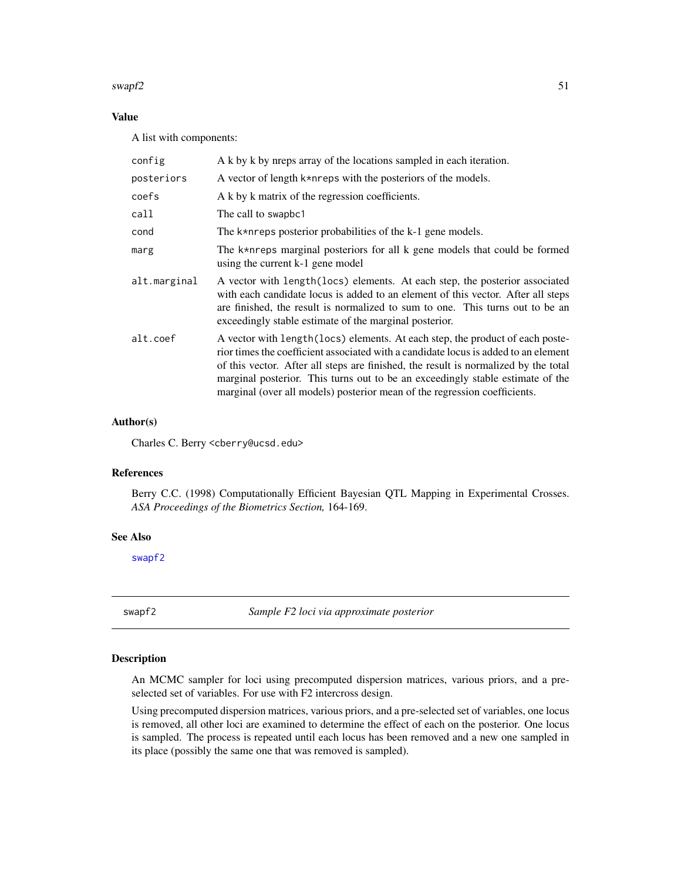#### <span id="page-50-0"></span>swapf2 51

### Value

A list with components:

| config       | A k by k by nreps array of the locations sampled in each iteration.                                                                                                                                                                                                                                                                                                                                                         |
|--------------|-----------------------------------------------------------------------------------------------------------------------------------------------------------------------------------------------------------------------------------------------------------------------------------------------------------------------------------------------------------------------------------------------------------------------------|
| posteriors   | A vector of length k*nreps with the posteriors of the models.                                                                                                                                                                                                                                                                                                                                                               |
| coefs        | A k by k matrix of the regression coefficients.                                                                                                                                                                                                                                                                                                                                                                             |
| call         | The call to swapbc1                                                                                                                                                                                                                                                                                                                                                                                                         |
| cond         | The $k*$ are posterior probabilities of the $k-1$ gene models.                                                                                                                                                                                                                                                                                                                                                              |
| marg         | The k*nreps marginal posteriors for all k gene models that could be formed<br>using the current k-1 gene model                                                                                                                                                                                                                                                                                                              |
| alt.marginal | A vector with length (locs) elements. At each step, the posterior associated<br>with each candidate locus is added to an element of this vector. After all steps<br>are finished, the result is normalized to sum to one. This turns out to be an<br>exceedingly stable estimate of the marginal posterior.                                                                                                                 |
| alt.coef     | A vector with length (locs) elements. At each step, the product of each poste-<br>rior times the coefficient associated with a candidate locus is added to an element<br>of this vector. After all steps are finished, the result is normalized by the total<br>marginal posterior. This turns out to be an exceedingly stable estimate of the<br>marginal (over all models) posterior mean of the regression coefficients. |

### Author(s)

Charles C. Berry <cberry@ucsd.edu>

#### References

Berry C.C. (1998) Computationally Efficient Bayesian QTL Mapping in Experimental Crosses. *ASA Proceedings of the Biometrics Section,* 164-169.

#### See Also

[swapf2](#page-50-1)

<span id="page-50-1"></span>swapf2 *Sample F2 loci via approximate posterior*

#### Description

An MCMC sampler for loci using precomputed dispersion matrices, various priors, and a preselected set of variables. For use with F2 intercross design.

Using precomputed dispersion matrices, various priors, and a pre-selected set of variables, one locus is removed, all other loci are examined to determine the effect of each on the posterior. One locus is sampled. The process is repeated until each locus has been removed and a new one sampled in its place (possibly the same one that was removed is sampled).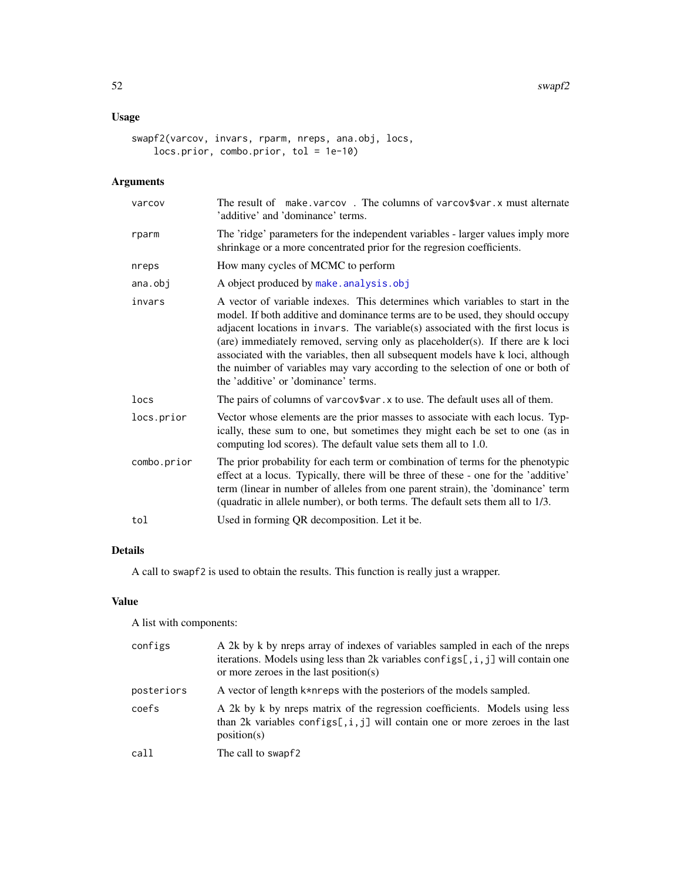### <span id="page-51-0"></span>Usage

```
swapf2(varcov, invars, rparm, nreps, ana.obj, locs,
   locs.prior, combo.prior, tol = 1e-10)
```
### Arguments

| varcov      | The result of make varcov. The columns of varcov\$var. x must alternate<br>'additive' and 'dominance' terms.                                                                                                                                                                                                                                                                                                                                                                                                                                       |
|-------------|----------------------------------------------------------------------------------------------------------------------------------------------------------------------------------------------------------------------------------------------------------------------------------------------------------------------------------------------------------------------------------------------------------------------------------------------------------------------------------------------------------------------------------------------------|
| rparm       | The 'ridge' parameters for the independent variables - larger values imply more<br>shrinkage or a more concentrated prior for the regresion coefficients.                                                                                                                                                                                                                                                                                                                                                                                          |
| nreps       | How many cycles of MCMC to perform                                                                                                                                                                                                                                                                                                                                                                                                                                                                                                                 |
| ana.obj     | A object produced by make.analysis.obj                                                                                                                                                                                                                                                                                                                                                                                                                                                                                                             |
| invars      | A vector of variable indexes. This determines which variables to start in the<br>model. If both additive and dominance terms are to be used, they should occupy<br>adjacent locations in invars. The variable(s) associated with the first locus is<br>(are) immediately removed, serving only as placeholder(s). If there are k loci<br>associated with the variables, then all subsequent models have k loci, although<br>the nuimber of variables may vary according to the selection of one or both of<br>the 'additive' or 'dominance' terms. |
| locs        | The pairs of columns of varcov\$var. x to use. The default uses all of them.                                                                                                                                                                                                                                                                                                                                                                                                                                                                       |
| locs.prior  | Vector whose elements are the prior masses to associate with each locus. Typ-<br>ically, these sum to one, but sometimes they might each be set to one (as in<br>computing lod scores). The default value sets them all to 1.0.                                                                                                                                                                                                                                                                                                                    |
| combo.prior | The prior probability for each term or combination of terms for the phenotypic<br>effect at a locus. Typically, there will be three of these - one for the 'additive'<br>term (linear in number of alleles from one parent strain), the 'dominance' term<br>(quadratic in allele number), or both terms. The default sets them all to 1/3.                                                                                                                                                                                                         |
| tol         | Used in forming QR decomposition. Let it be.                                                                                                                                                                                                                                                                                                                                                                                                                                                                                                       |

### Details

A call to swapf2 is used to obtain the results. This function is really just a wrapper.

#### Value

A list with components:

| configs    | A 2k by k by nreps array of indexes of variables sampled in each of the nreps<br>iterations. Models using less than 2k variables configs[, $i$ , $j$ ] will contain one<br>or more zeroes in the last position(s) |
|------------|-------------------------------------------------------------------------------------------------------------------------------------------------------------------------------------------------------------------|
| posteriors | A vector of length k*nreps with the posteriors of the models sampled.                                                                                                                                             |
| coefs      | A 2k by k by neps matrix of the regression coefficients. Models using less<br>than 2k variables configs[, $i$ , $j$ ] will contain one or more zeroes in the last<br>position(s)                                  |
| call       | The call to swapf2                                                                                                                                                                                                |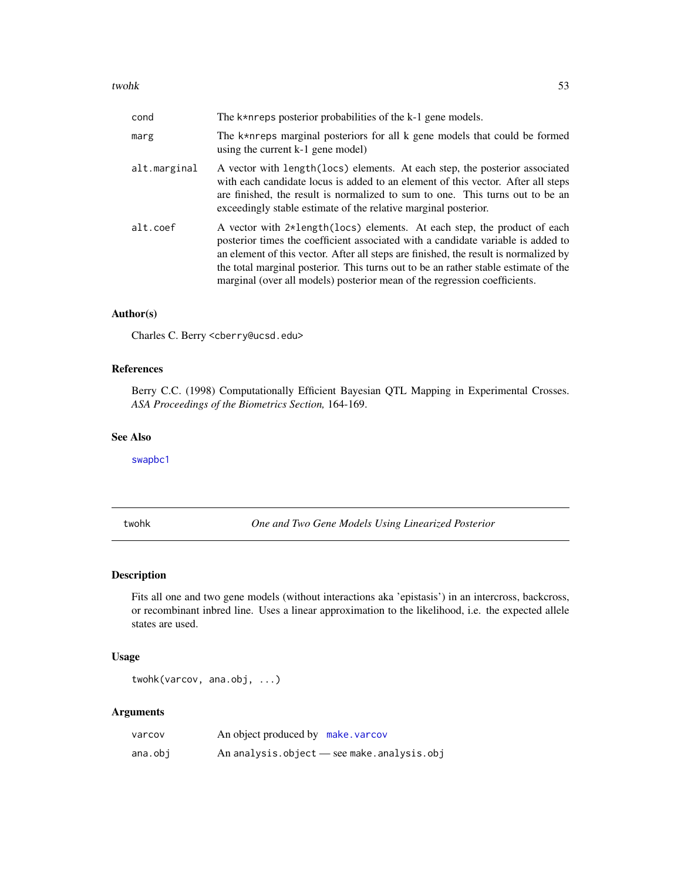#### <span id="page-52-0"></span>twohk 53

| cond         | The $k*$ n reps posterior probabilities of the $k-1$ gene models.                                                                                                                                                                                                                                                                                                                                                        |
|--------------|--------------------------------------------------------------------------------------------------------------------------------------------------------------------------------------------------------------------------------------------------------------------------------------------------------------------------------------------------------------------------------------------------------------------------|
| marg         | The k*nreps marginal posteriors for all k gene models that could be formed<br>using the current k-1 gene model)                                                                                                                                                                                                                                                                                                          |
| alt.marginal | A vector with length (locs) elements. At each step, the posterior associated<br>with each candidate locus is added to an element of this vector. After all steps<br>are finished, the result is normalized to sum to one. This turns out to be an<br>exceedingly stable estimate of the relative marginal posterior.                                                                                                     |
| alt.coef     | A vector with 2*length(locs) elements. At each step, the product of each<br>posterior times the coefficient associated with a candidate variable is added to<br>an element of this vector. After all steps are finished, the result is normalized by<br>the total marginal posterior. This turns out to be an rather stable estimate of the<br>marginal (over all models) posterior mean of the regression coefficients. |

### Author(s)

Charles C. Berry <cberry@ucsd.edu>

### References

Berry C.C. (1998) Computationally Efficient Bayesian QTL Mapping in Experimental Crosses. *ASA Proceedings of the Biometrics Section,* 164-169.

### See Also

[swapbc1](#page-49-1)

<span id="page-52-1"></span>twohk *One and Two Gene Models Using Linearized Posterior*

### Description

Fits all one and two gene models (without interactions aka 'epistasis') in an intercross, backcross, or recombinant inbred line. Uses a linear approximation to the likelihood, i.e. the expected allele states are used.

### Usage

twohk(varcov, ana.obj, ...)

### Arguments

| varcov  | An object produced by make varcov |                                            |
|---------|-----------------------------------|--------------------------------------------|
| ana.obi |                                   | An analysis.object — see make.analysis.obj |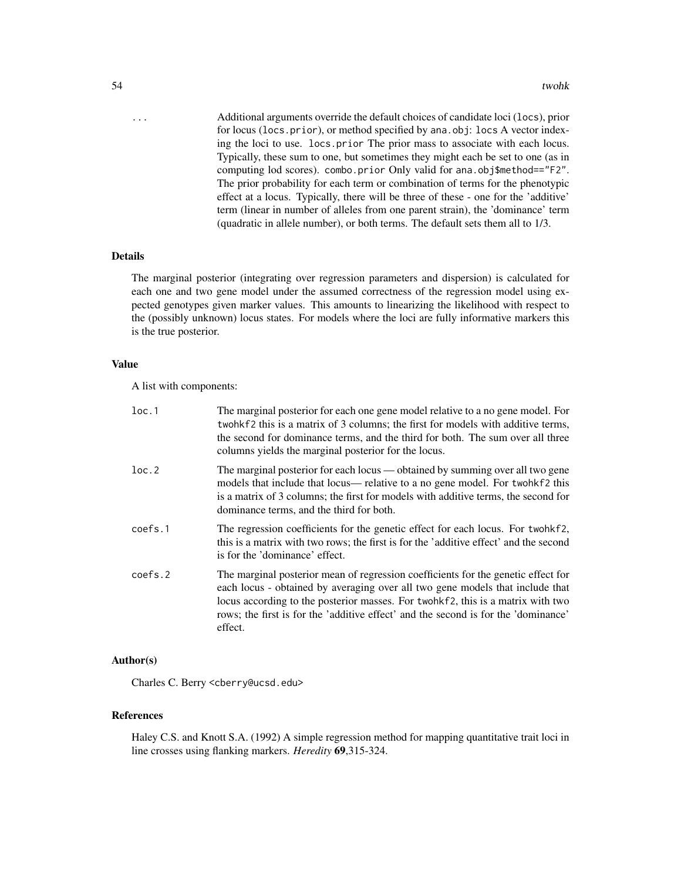... Additional arguments override the default choices of candidate loci (locs), prior for locus (locs.prior), or method specified by ana.obj: locs A vector indexing the loci to use. locs.prior The prior mass to associate with each locus. Typically, these sum to one, but sometimes they might each be set to one (as in computing lod scores). combo.prior Only valid for ana.obj\$method=="F2". The prior probability for each term or combination of terms for the phenotypic effect at a locus. Typically, there will be three of these - one for the 'additive' term (linear in number of alleles from one parent strain), the 'dominance' term (quadratic in allele number), or both terms. The default sets them all to 1/3.

### Details

The marginal posterior (integrating over regression parameters and dispersion) is calculated for each one and two gene model under the assumed correctness of the regression model using expected genotypes given marker values. This amounts to linearizing the likelihood with respect to the (possibly unknown) locus states. For models where the loci are fully informative markers this is the true posterior.

#### Value

A list with components:

| loc.1   | The marginal posterior for each one gene model relative to a no gene model. For<br>twohkf2 this is a matrix of 3 columns; the first for models with additive terms,<br>the second for dominance terms, and the third for both. The sum over all three<br>columns yields the marginal posterior for the locus.                                          |
|---------|--------------------------------------------------------------------------------------------------------------------------------------------------------------------------------------------------------------------------------------------------------------------------------------------------------------------------------------------------------|
| loc.2   | The marginal posterior for each locus — obtained by summing over all two gene<br>models that include that locus— relative to a no gene model. For two hkf2 this<br>is a matrix of 3 columns; the first for models with additive terms, the second for<br>dominance terms, and the third for both.                                                      |
| coefs.1 | The regression coefficients for the genetic effect for each locus. For two hkf2,<br>this is a matrix with two rows; the first is for the 'additive effect' and the second<br>is for the 'dominance' effect.                                                                                                                                            |
| coefs.2 | The marginal posterior mean of regression coefficients for the genetic effect for<br>each locus - obtained by averaging over all two gene models that include that<br>locus according to the posterior masses. For twohkf2, this is a matrix with two<br>rows; the first is for the 'additive effect' and the second is for the 'dominance'<br>effect. |

### Author(s)

Charles C. Berry <cberry@ucsd.edu>

#### References

Haley C.S. and Knott S.A. (1992) A simple regression method for mapping quantitative trait loci in line crosses using flanking markers. *Heredity* 69,315-324.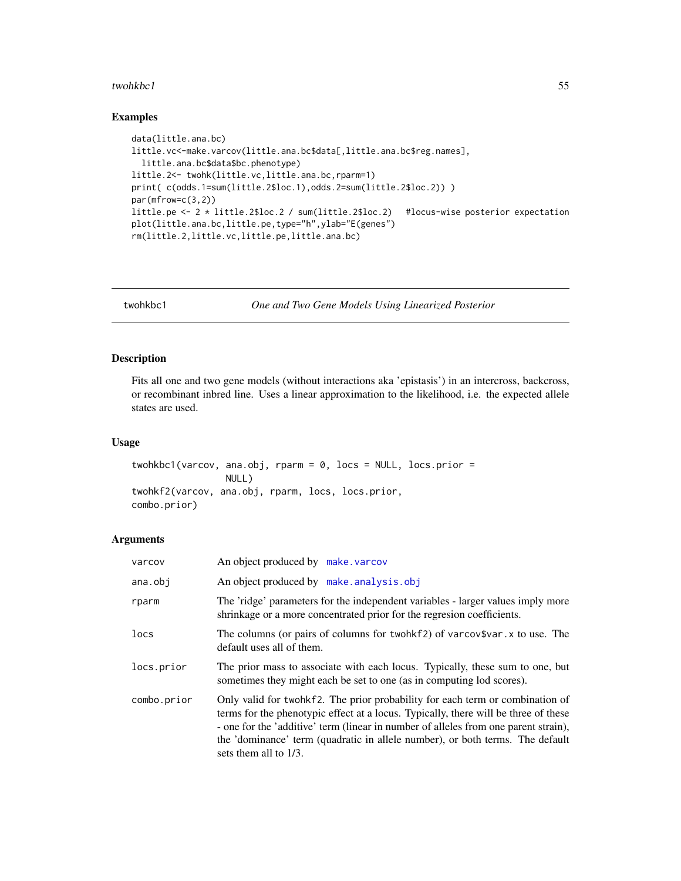#### <span id="page-54-0"></span>twohkbc1 55

#### Examples

```
data(little.ana.bc)
little.vc<-make.varcov(little.ana.bc$data[,little.ana.bc$reg.names],
  little.ana.bc$data$bc.phenotype)
little.2<- twohk(little.vc,little.ana.bc,rparm=1)
print( c(odds.1=sum(little.2$loc.1),odds.2=sum(little.2$loc.2)) )
par(mfrow=c(3,2))
little.pe <- 2 * little.2$loc.2 / sum(little.2$loc.2) #locus-wise posterior expectation
plot(little.ana.bc,little.pe,type="h",ylab="E(genes")
rm(little.2,little.vc,little.pe,little.ana.bc)
```
twohkbc1 *One and Two Gene Models Using Linearized Posterior*

#### Description

Fits all one and two gene models (without interactions aka 'epistasis') in an intercross, backcross, or recombinant inbred line. Uses a linear approximation to the likelihood, i.e. the expected allele states are used.

### Usage

```
twohkbc1(varcov, ana.obj, rparm = 0, locs = NULL, locs.prior =
                 NULL)
twohkf2(varcov, ana.obj, rparm, locs, locs.prior,
combo.prior)
```
### **Arguments**

| varcov      | An object produced by make varcov                                                                                                                                                                                                                                                                                                                                        |
|-------------|--------------------------------------------------------------------------------------------------------------------------------------------------------------------------------------------------------------------------------------------------------------------------------------------------------------------------------------------------------------------------|
| ana.obj     | An object produced by make.analysis.obj                                                                                                                                                                                                                                                                                                                                  |
| rparm       | The 'ridge' parameters for the independent variables - larger values imply more<br>shrinkage or a more concentrated prior for the regresion coefficients.                                                                                                                                                                                                                |
| locs        | The columns (or pairs of columns for twohkf2) of varcov\$var. x to use. The<br>default uses all of them.                                                                                                                                                                                                                                                                 |
| locs.prior  | The prior mass to associate with each locus. Typically, these sum to one, but<br>sometimes they might each be set to one (as in computing lod scores).                                                                                                                                                                                                                   |
| combo.prior | Only valid for twohkf2. The prior probability for each term or combination of<br>terms for the phenotypic effect at a locus. Typically, there will be three of these<br>- one for the 'additive' term (linear in number of alleles from one parent strain),<br>the 'dominance' term (quadratic in allele number), or both terms. The default<br>sets them all to $1/3$ . |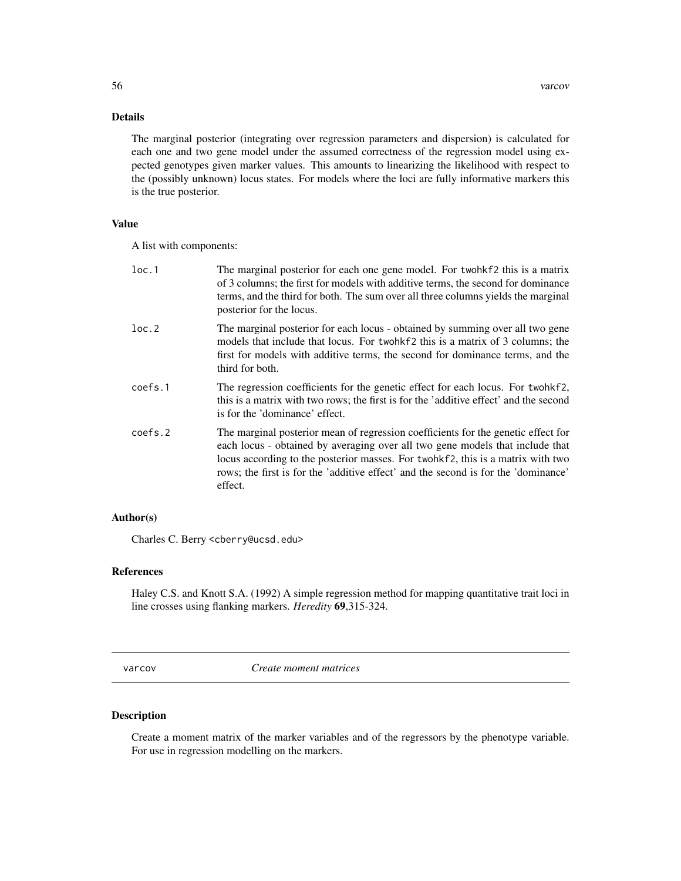### <span id="page-55-0"></span>Details

The marginal posterior (integrating over regression parameters and dispersion) is calculated for each one and two gene model under the assumed correctness of the regression model using expected genotypes given marker values. This amounts to linearizing the likelihood with respect to the (possibly unknown) locus states. For models where the loci are fully informative markers this is the true posterior.

### Value

A list with components:

| loc.1   | The marginal posterior for each one gene model. For twohkf2 this is a matrix<br>of 3 columns; the first for models with additive terms, the second for dominance<br>terms, and the third for both. The sum over all three columns yields the marginal<br>posterior for the locus.                                                                      |
|---------|--------------------------------------------------------------------------------------------------------------------------------------------------------------------------------------------------------------------------------------------------------------------------------------------------------------------------------------------------------|
| loc.2   | The marginal posterior for each locus - obtained by summing over all two gene<br>models that include that locus. For twohkf2 this is a matrix of 3 columns; the<br>first for models with additive terms, the second for dominance terms, and the<br>third for both.                                                                                    |
| coefs.1 | The regression coefficients for the genetic effect for each locus. For twohkf2,<br>this is a matrix with two rows; the first is for the 'additive effect' and the second<br>is for the 'dominance' effect.                                                                                                                                             |
| coefs.2 | The marginal posterior mean of regression coefficients for the genetic effect for<br>each locus - obtained by averaging over all two gene models that include that<br>locus according to the posterior masses. For twohkf2, this is a matrix with two<br>rows; the first is for the 'additive effect' and the second is for the 'dominance'<br>effect. |

### Author(s)

Charles C. Berry <cberry@ucsd.edu>

### References

Haley C.S. and Knott S.A. (1992) A simple regression method for mapping quantitative trait loci in line crosses using flanking markers. *Heredity* 69,315-324.

<span id="page-55-1"></span>varcov *Create moment matrices*

### Description

Create a moment matrix of the marker variables and of the regressors by the phenotype variable. For use in regression modelling on the markers.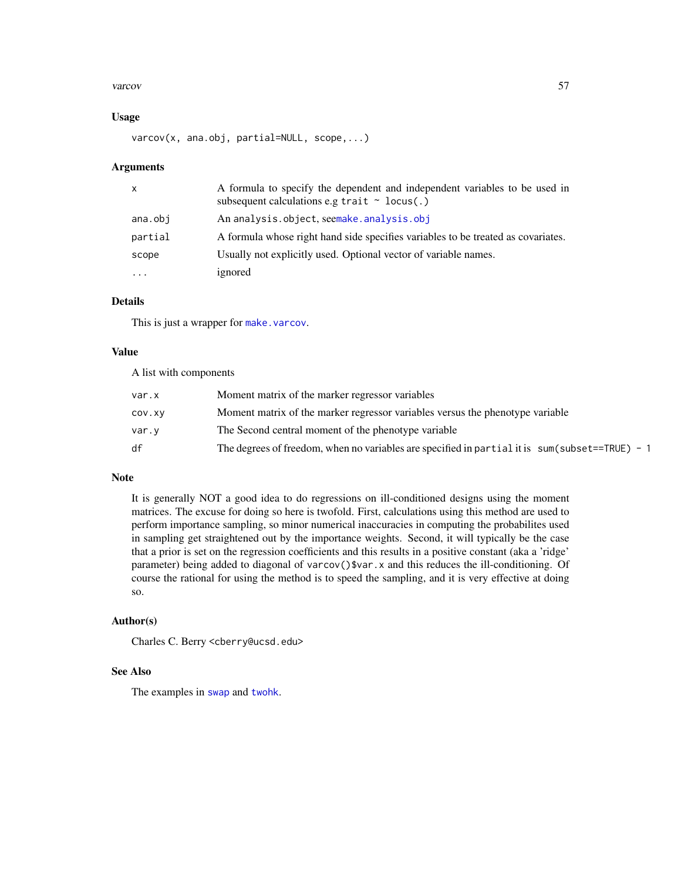#### <span id="page-56-0"></span>varcov 57

#### Usage

varcov(x, ana.obj, partial=NULL, scope,...)

#### Arguments

| $\mathsf{x}$ | A formula to specify the dependent and independent variables to be used in<br>subsequent calculations e.g trait $\sim$ locus(.) |
|--------------|---------------------------------------------------------------------------------------------------------------------------------|
| ana.obj      | An analysis.object, seemake.analysis.obj                                                                                        |
| partial      | A formula whose right hand side specifies variables to be treated as covariates.                                                |
| scope        | Usually not explicitly used. Optional vector of variable names.                                                                 |
| $\ddotsc$    | ignored                                                                                                                         |

### Details

This is just a wrapper for [make.varcov](#page-31-1).

#### Value

A list with components

| var.x  | Moment matrix of the marker regressor variables                                                  |
|--------|--------------------------------------------------------------------------------------------------|
| COV.XV | Moment matrix of the marker regressor variables versus the phenotype variable                    |
| var.y  | The Second central moment of the phenotype variable                                              |
| df     | The degrees of freedom, when no variables are specified in partial it is $sum(subset==TRUE) - 1$ |

### Note

It is generally NOT a good idea to do regressions on ill-conditioned designs using the moment matrices. The excuse for doing so here is twofold. First, calculations using this method are used to perform importance sampling, so minor numerical inaccuracies in computing the probabilites used in sampling get straightened out by the importance weights. Second, it will typically be the case that a prior is set on the regression coefficients and this results in a positive constant (aka a 'ridge' parameter) being added to diagonal of varcov()\$var.x and this reduces the ill-conditioning. Of course the rational for using the method is to speed the sampling, and it is very effective at doing so.

#### Author(s)

Charles C. Berry <cberry@ucsd.edu>

#### See Also

The examples in [swap](#page-47-1) and [twohk](#page-52-1).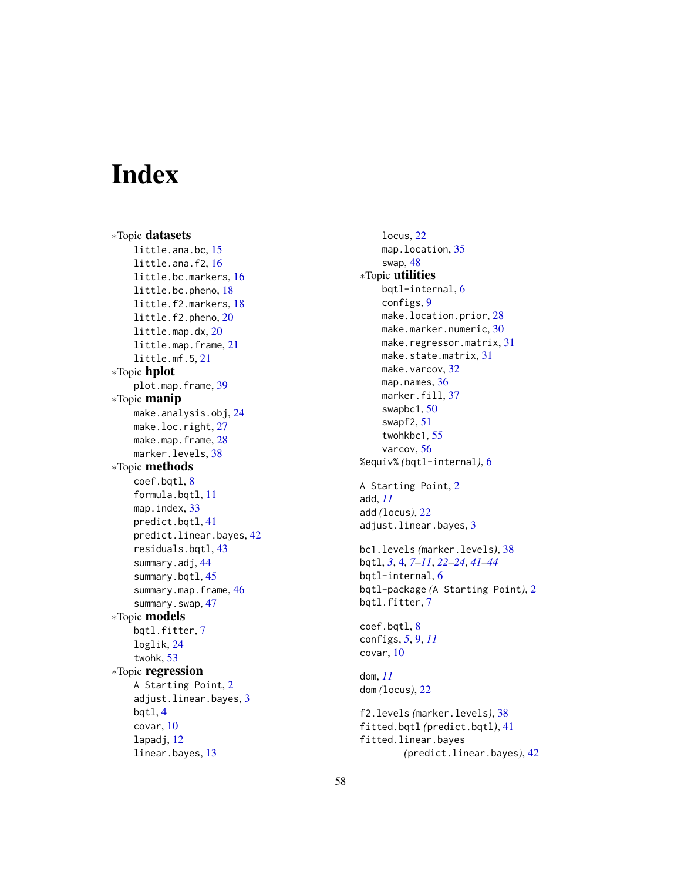# <span id="page-57-0"></span>Index

∗Topic datasets little.ana.bc, [15](#page-14-0) little.ana.f2, [16](#page-15-0) little.bc.markers, [16](#page-15-0) little.bc.pheno, [18](#page-17-0) little.f2.markers, [18](#page-17-0) little.f2.pheno, [20](#page-19-0) little.map.dx, [20](#page-19-0) little.map.frame, [21](#page-20-0) little.mf.5, [21](#page-20-0) ∗Topic hplot plot.map.frame, [39](#page-38-0) ∗Topic manip make.analysis.obj, [24](#page-23-0) make.loc.right, [27](#page-26-0) make.map.frame, [28](#page-27-0) marker.levels, [38](#page-37-0) ∗Topic methods coef.bqtl, [8](#page-7-0) formula.bqtl, [11](#page-10-0) map.index, [33](#page-32-0) predict.bqtl, [41](#page-40-0) predict.linear.bayes, [42](#page-41-0) residuals.bqtl, [43](#page-42-0) summary.adj, [44](#page-43-0) summary.bqtl, [45](#page-44-0) summary.map.frame, [46](#page-45-0) summary.swap, [47](#page-46-0) ∗Topic models bqtl.fitter, [7](#page-6-0) loglik, [24](#page-23-0) twohk, [53](#page-52-0) ∗Topic regression A Starting Point, [2](#page-1-0) adjust.linear.bayes, [3](#page-2-0) bqtl, [4](#page-3-0) covar, [10](#page-9-0) lapadj, [12](#page-11-0) linear.bayes, [13](#page-12-0)

locus, [22](#page-21-0) map.location, [35](#page-34-0) swap, [48](#page-47-0) ∗Topic utilities bqtl-internal, [6](#page-5-0) configs, [9](#page-8-0) make.location.prior, [28](#page-27-0) make.marker.numeric, [30](#page-29-0) make.regressor.matrix, [31](#page-30-0) make.state.matrix, [31](#page-30-0) make.varcov, [32](#page-31-0) map.names, [36](#page-35-0) marker.fill, [37](#page-36-0) swapbc1, [50](#page-49-0) swapf2, [51](#page-50-0) twohkbc1, [55](#page-54-0) varcov, [56](#page-55-0) %equiv% *(*bqtl-internal*)*, [6](#page-5-0) A Starting Point, [2](#page-1-0) add, *[11](#page-10-0)* add *(*locus*)*, [22](#page-21-0) adjust.linear.bayes, [3](#page-2-0) bc1.levels *(*marker.levels*)*, [38](#page-37-0) bqtl, *[3](#page-2-0)*, [4,](#page-3-0) *[7](#page-6-0)[–11](#page-10-0)*, *[22](#page-21-0)[–24](#page-23-0)*, *[41](#page-40-0)[–44](#page-43-0)* bqtl-internal, [6](#page-5-0) bqtl-package *(*A Starting Point*)*, [2](#page-1-0) bqtl.fitter, [7](#page-6-0) coef.bqtl, [8](#page-7-0) configs, *[5](#page-4-0)*, [9,](#page-8-0) *[11](#page-10-0)* covar, [10](#page-9-0) dom, *[11](#page-10-0)* dom *(*locus*)*, [22](#page-21-0) f2.levels *(*marker.levels*)*, [38](#page-37-0) fitted.bqtl *(*predict.bqtl*)*, [41](#page-40-0) fitted.linear.bayes *(*predict.linear.bayes*)*, [42](#page-41-0)